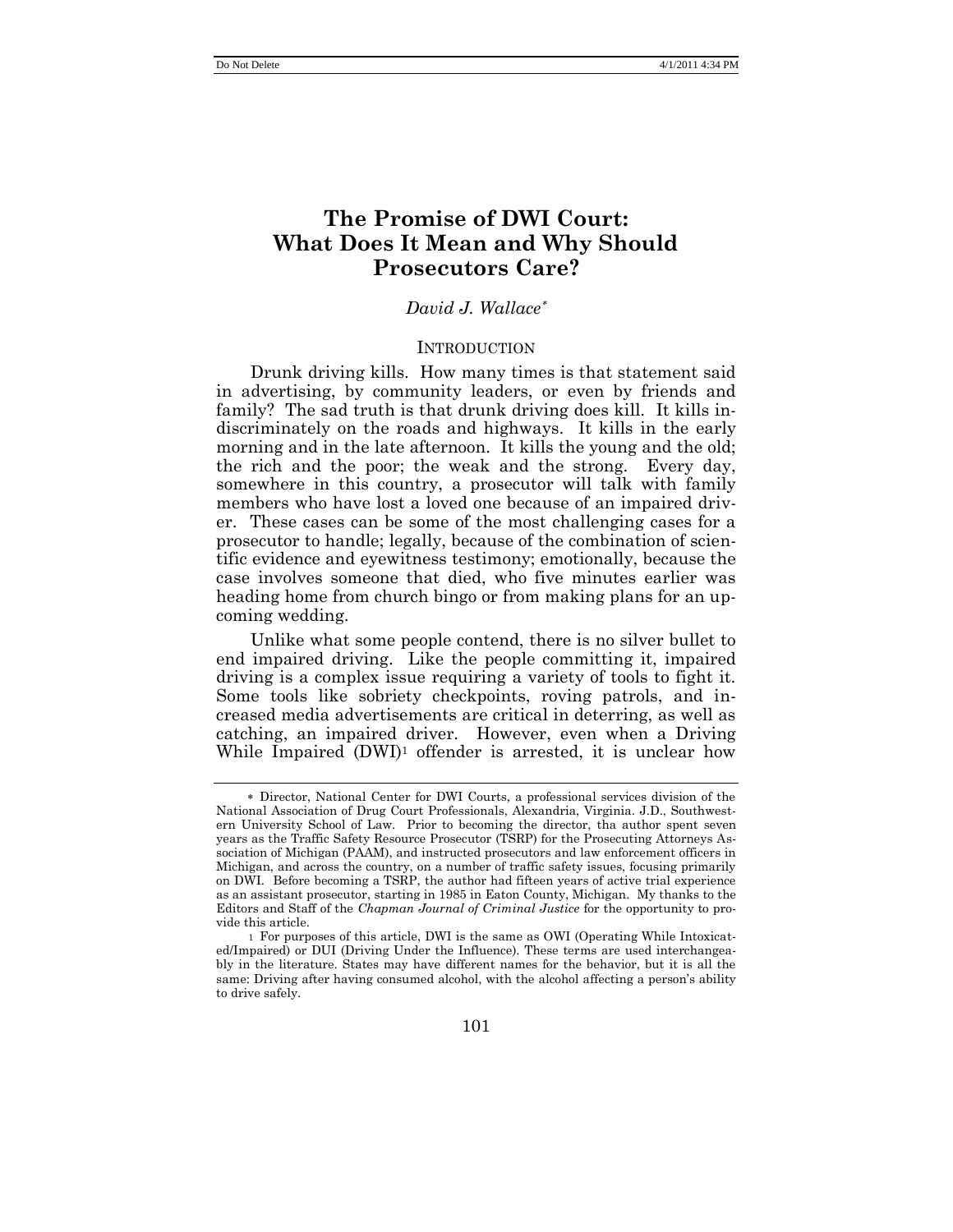# **The Promise of DWI Court: What Does It Mean and Why Should Prosecutors Care?**

# *David J. Wallace*

#### INTRODUCTION

Drunk driving kills. How many times is that statement said in advertising, by community leaders, or even by friends and family? The sad truth is that drunk driving does kill. It kills indiscriminately on the roads and highways. It kills in the early morning and in the late afternoon. It kills the young and the old; the rich and the poor; the weak and the strong. Every day, somewhere in this country, a prosecutor will talk with family members who have lost a loved one because of an impaired driver. These cases can be some of the most challenging cases for a prosecutor to handle; legally, because of the combination of scientific evidence and eyewitness testimony; emotionally, because the case involves someone that died, who five minutes earlier was heading home from church bingo or from making plans for an upcoming wedding.

Unlike what some people contend, there is no silver bullet to end impaired driving. Like the people committing it, impaired driving is a complex issue requiring a variety of tools to fight it. Some tools like sobriety checkpoints, roving patrols, and increased media advertisements are critical in deterring, as well as catching, an impaired driver. However, even when a Driving While Impaired (DWI)<sup>1</sup> offender is arrested, it is unclear how

Director, National Center for DWI Courts, a professional services division of the National Association of Drug Court Professionals, Alexandria, Virginia. J.D., Southwestern University School of Law. Prior to becoming the director, tha author spent seven years as the Traffic Safety Resource Prosecutor (TSRP) for the Prosecuting Attorneys Association of Michigan (PAAM), and instructed prosecutors and law enforcement officers in Michigan, and across the country, on a number of traffic safety issues, focusing primarily on DWI. Before becoming a TSRP, the author had fifteen years of active trial experience as an assistant prosecutor, starting in 1985 in Eaton County, Michigan. My thanks to the Editors and Staff of the *Chapman Journal of Criminal Justice* for the opportunity to provide this article.

<sup>1</sup> For purposes of this article, DWI is the same as OWI (Operating While Intoxicated/Impaired) or DUI (Driving Under the Influence). These terms are used interchangeably in the literature. States may have different names for the behavior, but it is all the same: Driving after having consumed alcohol, with the alcohol affecting a person's ability to drive safely.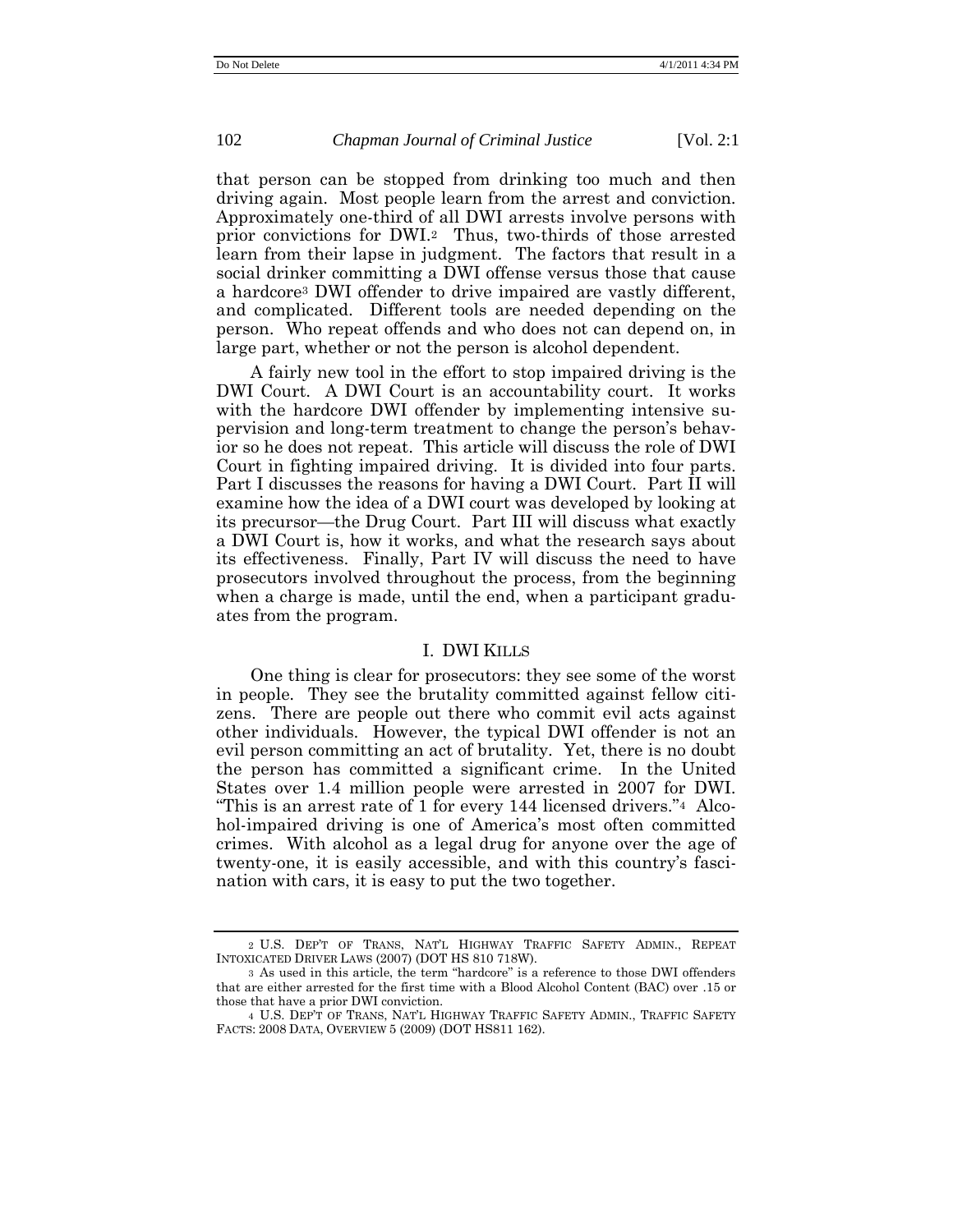that person can be stopped from drinking too much and then driving again. Most people learn from the arrest and conviction. Approximately one-third of all DWI arrests involve persons with prior convictions for DWI.<sup>2</sup> Thus, two-thirds of those arrested learn from their lapse in judgment. The factors that result in a social drinker committing a DWI offense versus those that cause a hardcore<sup>3</sup> DWI offender to drive impaired are vastly different, and complicated. Different tools are needed depending on the person. Who repeat offends and who does not can depend on, in large part, whether or not the person is alcohol dependent.

A fairly new tool in the effort to stop impaired driving is the DWI Court. A DWI Court is an accountability court. It works with the hardcore DWI offender by implementing intensive supervision and long-term treatment to change the person's behavior so he does not repeat. This article will discuss the role of DWI Court in fighting impaired driving. It is divided into four parts. Part I discusses the reasons for having a DWI Court. Part II will examine how the idea of a DWI court was developed by looking at its precursor—the Drug Court. Part III will discuss what exactly a DWI Court is, how it works, and what the research says about its effectiveness. Finally, Part IV will discuss the need to have prosecutors involved throughout the process, from the beginning when a charge is made, until the end, when a participant graduates from the program.

#### I. DWI KILLS

One thing is clear for prosecutors: they see some of the worst in people. They see the brutality committed against fellow citizens. There are people out there who commit evil acts against other individuals. However, the typical DWI offender is not an evil person committing an act of brutality. Yet, there is no doubt the person has committed a significant crime. In the United States over 1.4 million people were arrested in 2007 for DWI. "This is an arrest rate of 1 for every 144 licensed drivers."<sup>4</sup> Alcohol-impaired driving is one of America's most often committed crimes. With alcohol as a legal drug for anyone over the age of twenty-one, it is easily accessible, and with this country's fascination with cars, it is easy to put the two together.

<sup>2</sup> U.S. DEP'T OF TRANS, NAT'L HIGHWAY TRAFFIC SAFETY ADMIN., REPEAT INTOXICATED DRIVER LAWS (2007) (DOT HS 810 718W).

<sup>3</sup> As used in this article, the term "hardcore" is a reference to those DWI offenders that are either arrested for the first time with a Blood Alcohol Content (BAC) over .15 or those that have a prior DWI conviction.

<sup>4</sup> U.S. DEP'T OF TRANS, NAT'L HIGHWAY TRAFFIC SAFETY ADMIN., TRAFFIC SAFETY FACTS: 2008 DATA, OVERVIEW 5 (2009) (DOT HS811 162).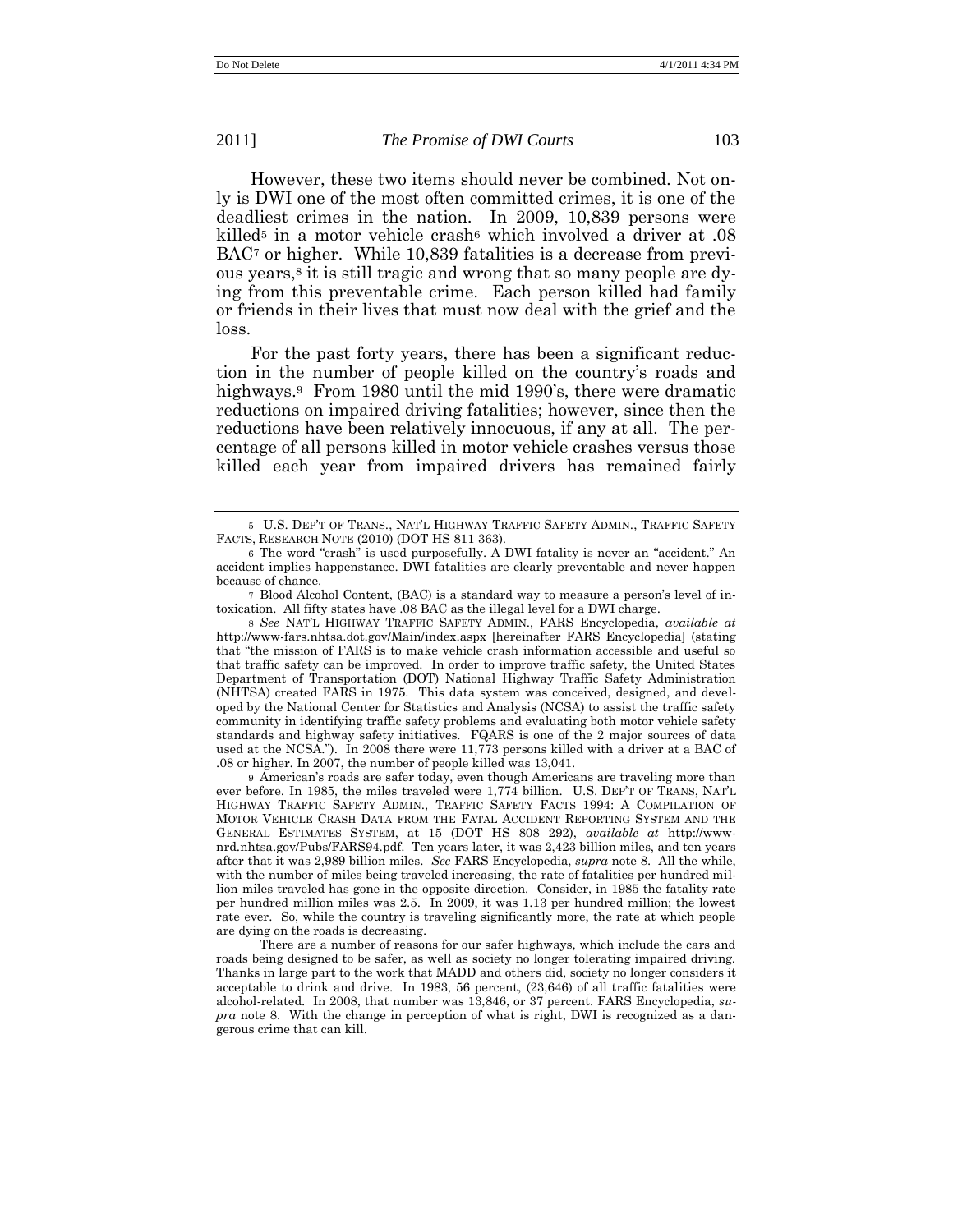However, these two items should never be combined. Not only is DWI one of the most often committed crimes, it is one of the deadliest crimes in the nation. In 2009, 10,839 persons were killed<sup>5</sup> in a motor vehicle crash<sup>6</sup> which involved a driver at .08 BAC<sup>7</sup> or higher. While 10,839 fatalities is a decrease from previous years,<sup>8</sup> it is still tragic and wrong that so many people are dying from this preventable crime. Each person killed had family or friends in their lives that must now deal with the grief and the loss.

For the past forty years, there has been a significant reduction in the number of people killed on the country's roads and highways.<sup>9</sup> From 1980 until the mid 1990's, there were dramatic reductions on impaired driving fatalities; however, since then the reductions have been relatively innocuous, if any at all. The percentage of all persons killed in motor vehicle crashes versus those killed each year from impaired drivers has remained fairly

8 *See* NAT'L HIGHWAY TRAFFIC SAFETY ADMIN., FARS Encyclopedia, *available at* http://www-fars.nhtsa.dot.gov/Main/index.aspx [hereinafter FARS Encyclopedia] (stating that "the mission of FARS is to make vehicle crash information accessible and useful so that traffic safety can be improved. In order to improve traffic safety, the United States Department of Transportation (DOT) National Highway Traffic Safety Administration (NHTSA) created FARS in 1975. This data system was conceived, designed, and developed by the National Center for Statistics and Analysis (NCSA) to assist the traffic safety community in identifying traffic safety problems and evaluating both motor vehicle safety standards and highway safety initiatives. FQARS is one of the 2 major sources of data used at the NCSA."). In 2008 there were 11,773 persons killed with a driver at a BAC of .08 or higher. In 2007, the number of people killed was 13,041.

9 American's roads are safer today, even though Americans are traveling more than ever before. In 1985, the miles traveled were 1,774 billion. U.S. DEP'T OF TRANS, NAT'L HIGHWAY TRAFFIC SAFETY ADMIN., TRAFFIC SAFETY FACTS 1994: A COMPILATION OF MOTOR VEHICLE CRASH DATA FROM THE FATAL ACCIDENT REPORTING SYSTEM AND THE GENERAL ESTIMATES SYSTEM, at 15 (DOT HS 808 292), *available at* http://wwwnrd.nhtsa.gov/Pubs/FARS94.pdf. Ten years later, it was 2,423 billion miles, and ten years after that it was 2,989 billion miles. *See* FARS Encyclopedia, *supra* note 8. All the while, with the number of miles being traveled increasing, the rate of fatalities per hundred million miles traveled has gone in the opposite direction. Consider, in 1985 the fatality rate per hundred million miles was 2.5. In 2009, it was 1.13 per hundred million; the lowest rate ever. So, while the country is traveling significantly more, the rate at which people are dying on the roads is decreasing.

There are a number of reasons for our safer highways, which include the cars and roads being designed to be safer, as well as society no longer tolerating impaired driving. Thanks in large part to the work that MADD and others did, society no longer considers it acceptable to drink and drive. In 1983, 56 percent, (23,646) of all traffic fatalities were alcohol-related. In 2008, that number was 13,846, or 37 percent. FARS Encyclopedia, *supra* note 8. With the change in perception of what is right, DWI is recognized as a dangerous crime that can kill.

<sup>5</sup> U.S. DEP'T OF TRANS., NAT'L HIGHWAY TRAFFIC SAFETY ADMIN., TRAFFIC SAFETY FACTS, RESEARCH NOTE (2010) (DOT HS 811 363).

<sup>6</sup> The word "crash" is used purposefully. A DWI fatality is never an "accident." An accident implies happenstance. DWI fatalities are clearly preventable and never happen because of chance.

<sup>7</sup> Blood Alcohol Content, (BAC) is a standard way to measure a person's level of intoxication. All fifty states have .08 BAC as the illegal level for a DWI charge.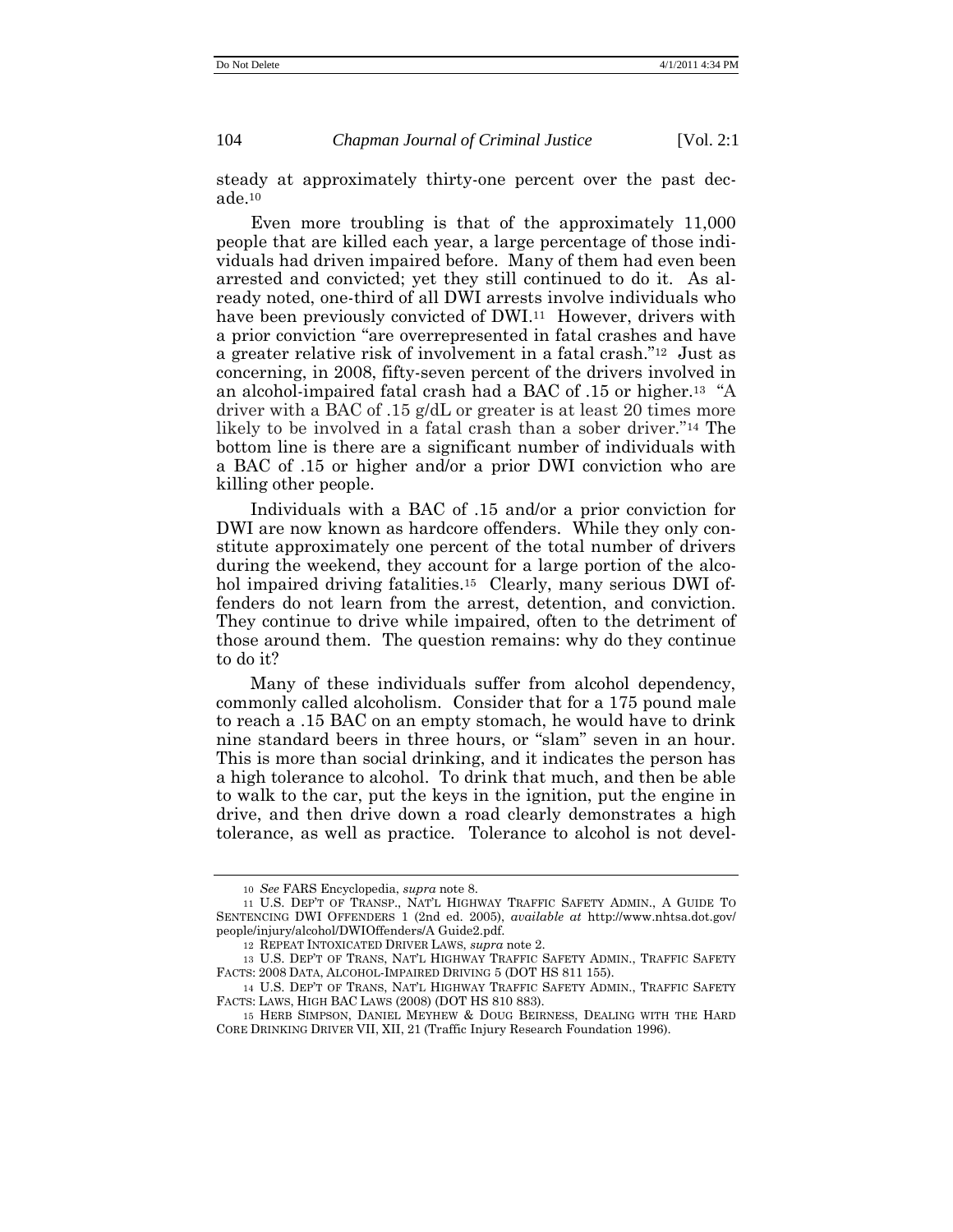steady at approximately thirty-one percent over the past decade.<sup>10</sup>

Even more troubling is that of the approximately 11,000 people that are killed each year, a large percentage of those individuals had driven impaired before. Many of them had even been arrested and convicted; yet they still continued to do it. As already noted, one-third of all DWI arrests involve individuals who have been previously convicted of DWI.<sup>11</sup> However, drivers with a prior conviction "are overrepresented in fatal crashes and have a greater relative risk of involvement in a fatal crash."<sup>12</sup> Just as concerning, in 2008, fifty-seven percent of the drivers involved in an alcohol-impaired fatal crash had a BAC of .15 or higher.<sup>13</sup> "A driver with a BAC of .15 g/dL or greater is at least 20 times more likely to be involved in a fatal crash than a sober driver."<sup>14</sup> The bottom line is there are a significant number of individuals with a BAC of .15 or higher and/or a prior DWI conviction who are killing other people.

Individuals with a BAC of .15 and/or a prior conviction for DWI are now known as hardcore offenders. While they only constitute approximately one percent of the total number of drivers during the weekend, they account for a large portion of the alcohol impaired driving fatalities.<sup>15</sup> Clearly, many serious DWI offenders do not learn from the arrest, detention, and conviction. They continue to drive while impaired, often to the detriment of those around them. The question remains: why do they continue to do it?

Many of these individuals suffer from alcohol dependency, commonly called alcoholism. Consider that for a 175 pound male to reach a .15 BAC on an empty stomach, he would have to drink nine standard beers in three hours, or "slam" seven in an hour. This is more than social drinking, and it indicates the person has a high tolerance to alcohol. To drink that much, and then be able to walk to the car, put the keys in the ignition, put the engine in drive, and then drive down a road clearly demonstrates a high tolerance, as well as practice. Tolerance to alcohol is not devel-

<sup>10</sup> *See* FARS Encyclopedia, *supra* note 8.

<sup>11</sup> U.S. DEP'T OF TRANSP., NAT'L HIGHWAY TRAFFIC SAFETY ADMIN., A GUIDE TO SENTENCING DWI OFFENDERS 1 (2nd ed. 2005), *available at* http://www.nhtsa.dot.gov/ people/injury/alcohol/DWIOffenders/A Guide2.pdf.

<sup>12</sup> REPEAT INTOXICATED DRIVER LAWS, *supra* note 2.

<sup>13</sup> U.S. DEP'T OF TRANS, NAT'L HIGHWAY TRAFFIC SAFETY ADMIN., TRAFFIC SAFETY FACTS: 2008 DATA, ALCOHOL-IMPAIRED DRIVING 5 (DOT HS 811 155).

<sup>14</sup> U.S. DEP'T OF TRANS, NAT'L HIGHWAY TRAFFIC SAFETY ADMIN., TRAFFIC SAFETY FACTS: LAWS, HIGH BAC LAWS (2008) (DOT HS 810 883).

<sup>15</sup> HERB SIMPSON, DANIEL MEYHEW & DOUG BEIRNESS, DEALING WITH THE HARD CORE DRINKING DRIVER VII, XII, 21 (Traffic Injury Research Foundation 1996).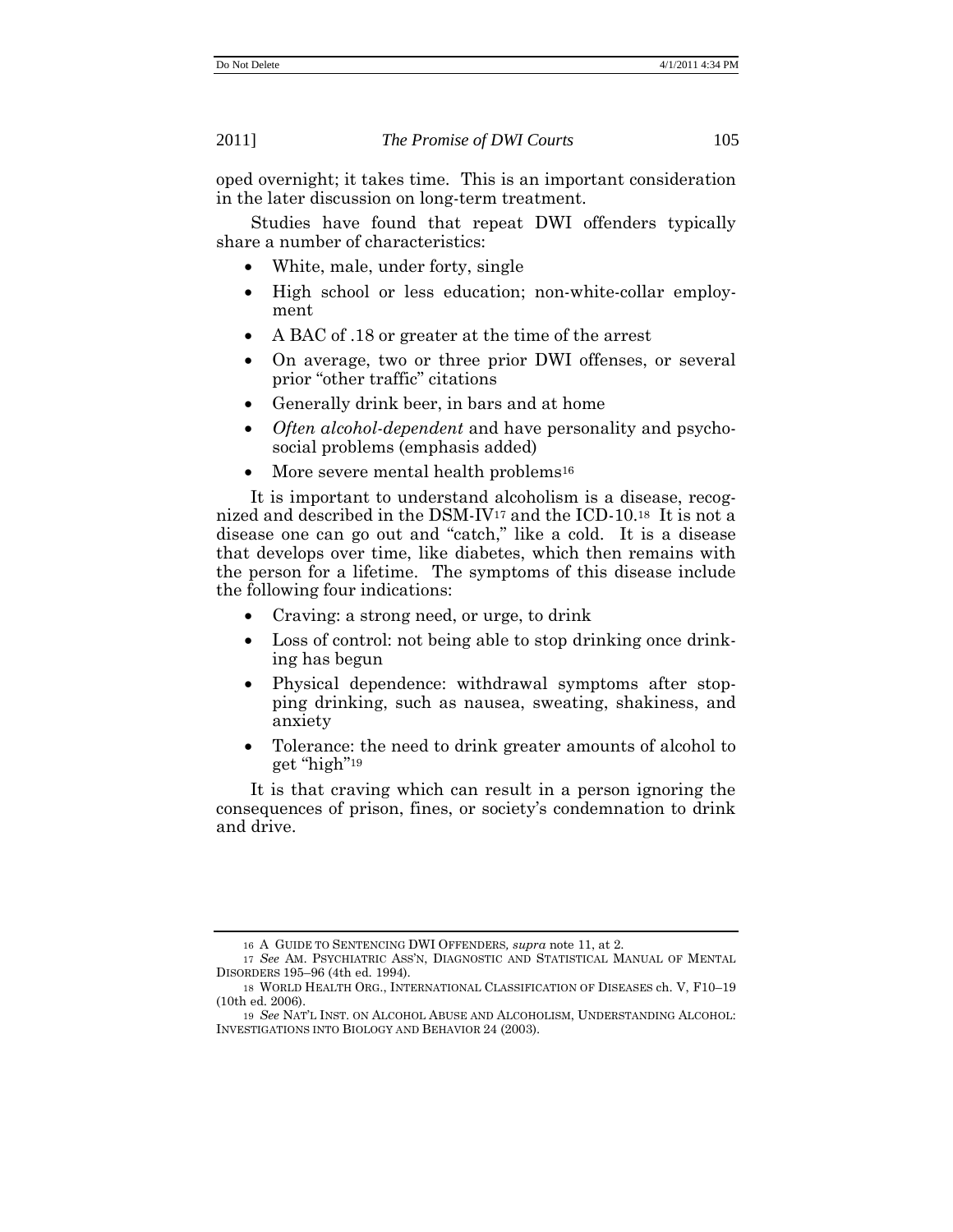oped overnight; it takes time. This is an important consideration in the later discussion on long-term treatment.

Studies have found that repeat DWI offenders typically share a number of characteristics:

- White, male, under forty, single
- High school or less education; non-white-collar employment
- A BAC of .18 or greater at the time of the arrest
- On average, two or three prior DWI offenses, or several prior "other traffic" citations
- Generally drink beer, in bars and at home
- *Often alcohol-dependent* and have personality and psychosocial problems (emphasis added)
- More severe mental health problems<sup>16</sup>

It is important to understand alcoholism is a disease, recognized and described in the DSM-IV<sup>17</sup> and the ICD-10. <sup>18</sup> It is not a disease one can go out and "catch," like a cold. It is a disease that develops over time, like diabetes, which then remains with the person for a lifetime. The symptoms of this disease include the following four indications:

- Craving: a strong need, or urge, to drink
- Loss of control: not being able to stop drinking once drinking has begun
- Physical dependence: withdrawal symptoms after stopping drinking, such as nausea, sweating, shakiness, and anxiety
- Tolerance: the need to drink greater amounts of alcohol to get "high"<sup>19</sup>

It is that craving which can result in a person ignoring the consequences of prison, fines, or society's condemnation to drink and drive.

<sup>16</sup> A GUIDE TO SENTENCING DWI OFFENDERS*, supra* note 11, at 2.

<sup>17</sup> *See* AM. PSYCHIATRIC ASS'N, DIAGNOSTIC AND STATISTICAL MANUAL OF MENTAL DISORDERS 195–96 (4th ed. 1994).

<sup>18</sup> WORLD HEALTH ORG., INTERNATIONAL CLASSIFICATION OF DISEASES ch. V, F10–19 (10th ed. 2006).

<sup>19</sup> *See* NAT'L INST. ON ALCOHOL ABUSE AND ALCOHOLISM, UNDERSTANDING ALCOHOL: INVESTIGATIONS INTO BIOLOGY AND BEHAVIOR 24 (2003).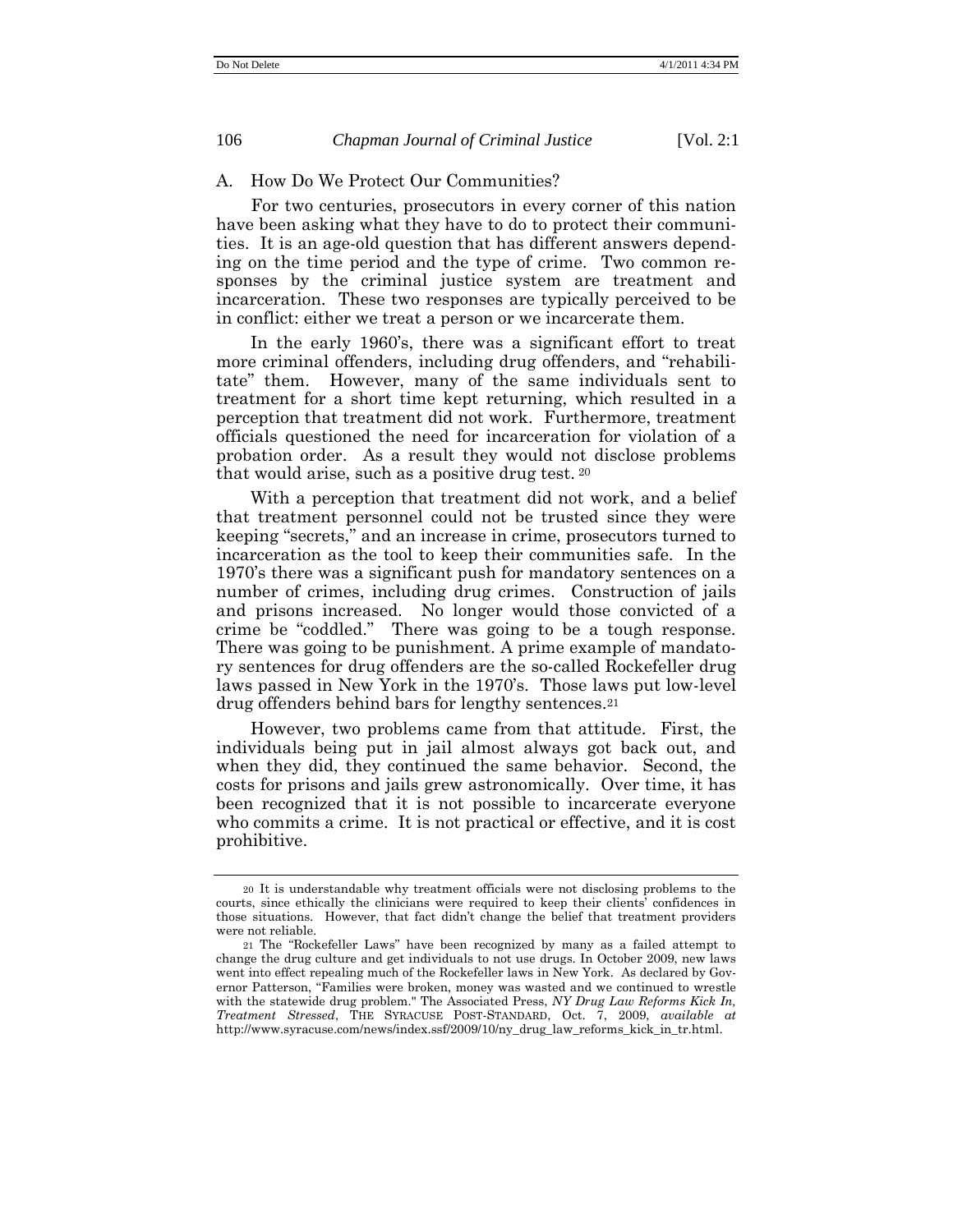## A. How Do We Protect Our Communities?

For two centuries, prosecutors in every corner of this nation have been asking what they have to do to protect their communities. It is an age-old question that has different answers depending on the time period and the type of crime. Two common responses by the criminal justice system are treatment and incarceration. These two responses are typically perceived to be in conflict: either we treat a person or we incarcerate them.

In the early 1960's, there was a significant effort to treat more criminal offenders, including drug offenders, and "rehabilitate‖ them. However, many of the same individuals sent to treatment for a short time kept returning, which resulted in a perception that treatment did not work. Furthermore, treatment officials questioned the need for incarceration for violation of a probation order. As a result they would not disclose problems that would arise, such as a positive drug test. <sup>20</sup>

With a perception that treatment did not work, and a belief that treatment personnel could not be trusted since they were keeping "secrets," and an increase in crime, prosecutors turned to incarceration as the tool to keep their communities safe. In the 1970's there was a significant push for mandatory sentences on a number of crimes, including drug crimes. Construction of jails and prisons increased. No longer would those convicted of a crime be "coddled." There was going to be a tough response. There was going to be punishment. A prime example of mandatory sentences for drug offenders are the so-called Rockefeller drug laws passed in New York in the 1970's. Those laws put low-level drug offenders behind bars for lengthy sentences.<sup>21</sup>

However, two problems came from that attitude. First, the individuals being put in jail almost always got back out, and when they did, they continued the same behavior. Second, the costs for prisons and jails grew astronomically. Over time, it has been recognized that it is not possible to incarcerate everyone who commits a crime. It is not practical or effective, and it is cost prohibitive.

<sup>20</sup> It is understandable why treatment officials were not disclosing problems to the courts, since ethically the clinicians were required to keep their clients' confidences in those situations. However, that fact didn't change the belief that treatment providers were not reliable.

<sup>21</sup> The "Rockefeller Laws" have been recognized by many as a failed attempt to change the drug culture and get individuals to not use drugs. In October 2009, new laws went into effect repealing much of the Rockefeller laws in New York. As declared by Governor Patterson, "Families were broken, money was wasted and we continued to wrestle with the statewide drug problem." The Associated Press, *NY Drug Law Reforms Kick In, Treatment Stressed*, THE SYRACUSE POST-STANDARD, Oct. 7, 2009, *available at* http://www.syracuse.com/news/index.ssf/2009/10/ny\_drug\_law\_reforms\_kick\_in\_tr.html.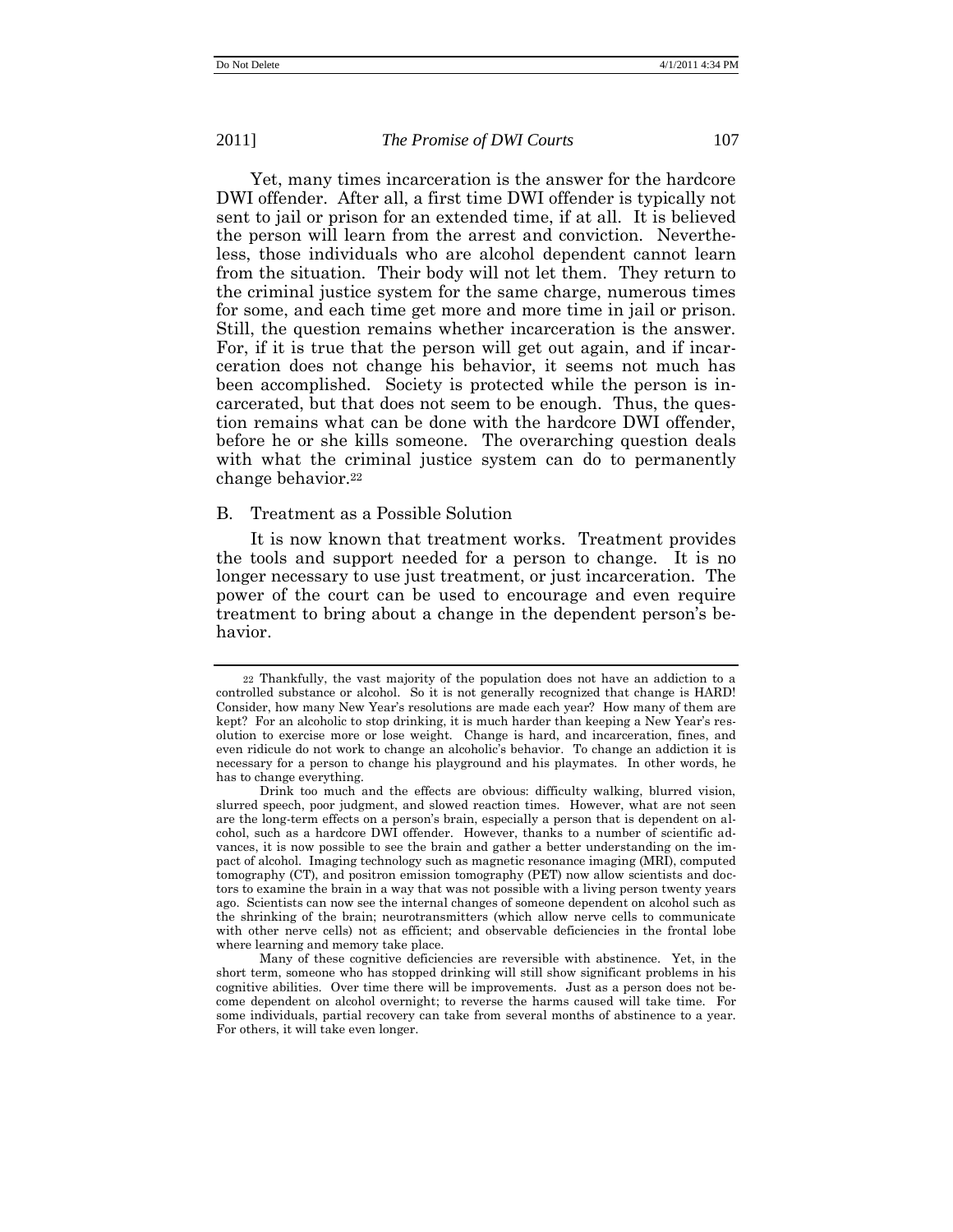Yet, many times incarceration is the answer for the hardcore DWI offender. After all, a first time DWI offender is typically not sent to jail or prison for an extended time, if at all. It is believed the person will learn from the arrest and conviction. Nevertheless, those individuals who are alcohol dependent cannot learn from the situation. Their body will not let them. They return to the criminal justice system for the same charge, numerous times for some, and each time get more and more time in jail or prison. Still, the question remains whether incarceration is the answer. For, if it is true that the person will get out again, and if incarceration does not change his behavior, it seems not much has been accomplished. Society is protected while the person is incarcerated, but that does not seem to be enough. Thus, the question remains what can be done with the hardcore DWI offender, before he or she kills someone. The overarching question deals with what the criminal justice system can do to permanently change behavior.<sup>22</sup>

## B. Treatment as a Possible Solution

It is now known that treatment works. Treatment provides the tools and support needed for a person to change. It is no longer necessary to use just treatment, or just incarceration. The power of the court can be used to encourage and even require treatment to bring about a change in the dependent person's behavior.

<sup>22</sup> Thankfully, the vast majority of the population does not have an addiction to a controlled substance or alcohol. So it is not generally recognized that change is HARD! Consider, how many New Year's resolutions are made each year? How many of them are kept? For an alcoholic to stop drinking, it is much harder than keeping a New Year's resolution to exercise more or lose weight. Change is hard, and incarceration, fines, and even ridicule do not work to change an alcoholic's behavior. To change an addiction it is necessary for a person to change his playground and his playmates. In other words, he has to change everything.

Drink too much and the effects are obvious: difficulty walking, blurred vision, slurred speech, poor judgment, and slowed reaction times. However, what are not seen are the long-term effects on a person's brain, especially a person that is dependent on alcohol, such as a hardcore DWI offender. However, thanks to a number of scientific advances, it is now possible to see the brain and gather a better understanding on the impact of alcohol. Imaging technology such as magnetic resonance imaging (MRI), computed tomography (CT), and positron emission tomography (PET) now allow scientists and doctors to examine the brain in a way that was not possible with a living person twenty years ago. Scientists can now see the internal changes of someone dependent on alcohol such as the shrinking of the brain; neurotransmitters (which allow nerve cells to communicate with other nerve cells) not as efficient; and observable deficiencies in the frontal lobe where learning and memory take place.

Many of these cognitive deficiencies are reversible with abstinence. Yet, in the short term, someone who has stopped drinking will still show significant problems in his cognitive abilities. Over time there will be improvements. Just as a person does not become dependent on alcohol overnight; to reverse the harms caused will take time. For some individuals, partial recovery can take from several months of abstinence to a year. For others, it will take even longer.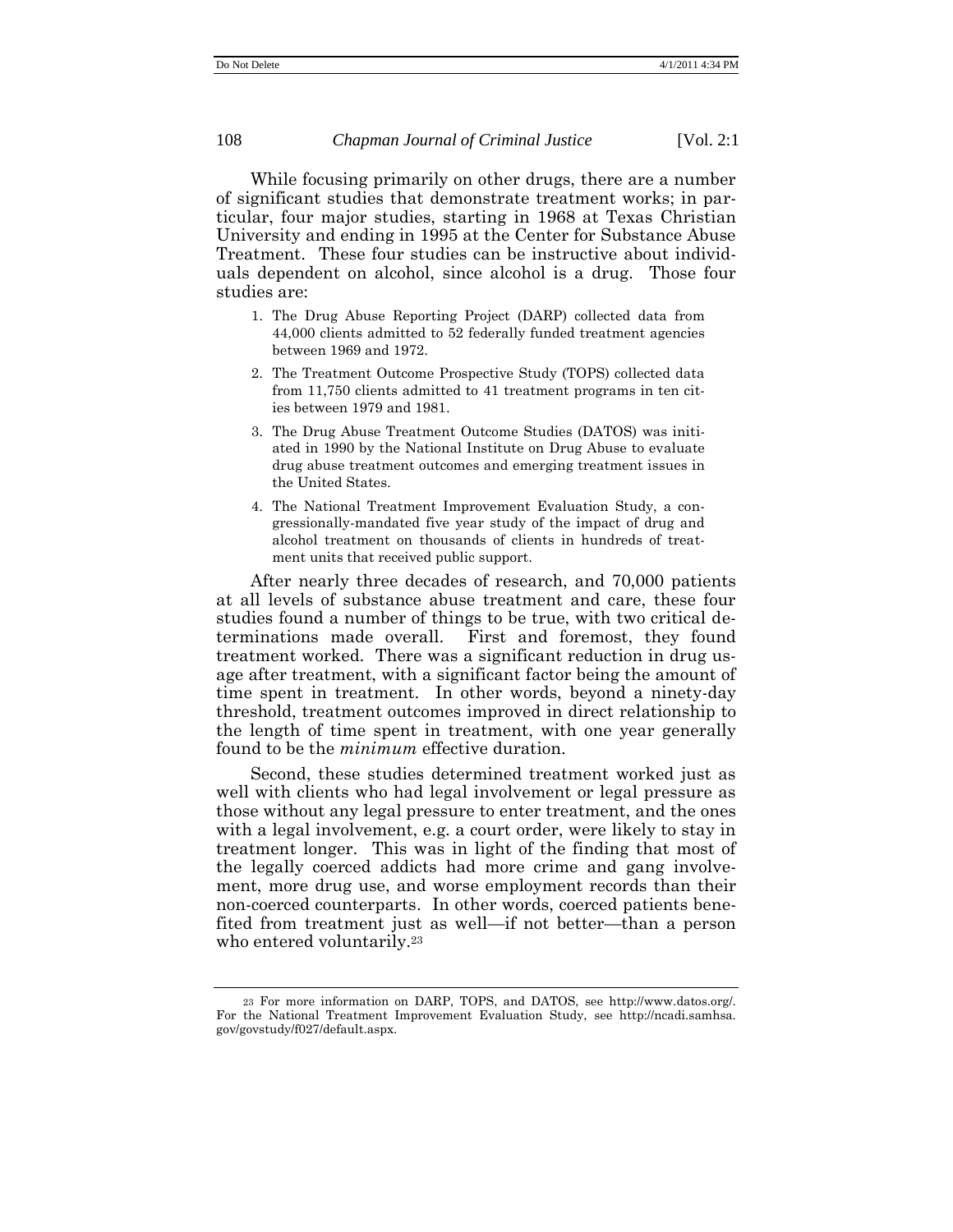While focusing primarily on other drugs, there are a number of significant studies that demonstrate treatment works; in particular, four major studies, starting in 1968 at Texas Christian University and ending in 1995 at the Center for Substance Abuse Treatment. These four studies can be instructive about individuals dependent on alcohol, since alcohol is a drug. Those four studies are:

- 1. The Drug Abuse Reporting Project (DARP) collected data from 44,000 clients admitted to 52 federally funded treatment agencies between 1969 and 1972.
- 2. The Treatment Outcome Prospective Study (TOPS) collected data from 11,750 clients admitted to 41 treatment programs in ten cities between 1979 and 1981.
- 3. The Drug Abuse Treatment Outcome Studies (DATOS) was initiated in 1990 by the National Institute on Drug Abuse to evaluate drug abuse treatment outcomes and emerging treatment issues in the United States.
- 4. The National Treatment Improvement Evaluation Study, a congressionally-mandated five year study of the impact of drug and alcohol treatment on thousands of clients in hundreds of treatment units that received public support.

After nearly three decades of research, and 70,000 patients at all levels of substance abuse treatment and care, these four studies found a number of things to be true, with two critical determinations made overall. First and foremost, they found treatment worked. There was a significant reduction in drug usage after treatment, with a significant factor being the amount of time spent in treatment. In other words, beyond a ninety-day threshold, treatment outcomes improved in direct relationship to the length of time spent in treatment, with one year generally found to be the *minimum* effective duration.

Second, these studies determined treatment worked just as well with clients who had legal involvement or legal pressure as those without any legal pressure to enter treatment, and the ones with a legal involvement, e.g. a court order, were likely to stay in treatment longer. This was in light of the finding that most of the legally coerced addicts had more crime and gang involvement, more drug use, and worse employment records than their non-coerced counterparts. In other words, coerced patients benefited from treatment just as well—if not better—than a person who entered voluntarily.<sup>23</sup>

<sup>23</sup> For more information on DARP, TOPS, and DATOS, see http://www.datos.org/. For the National Treatment Improvement Evaluation Study, see http://ncadi.samhsa. gov/govstudy/f027/default.aspx.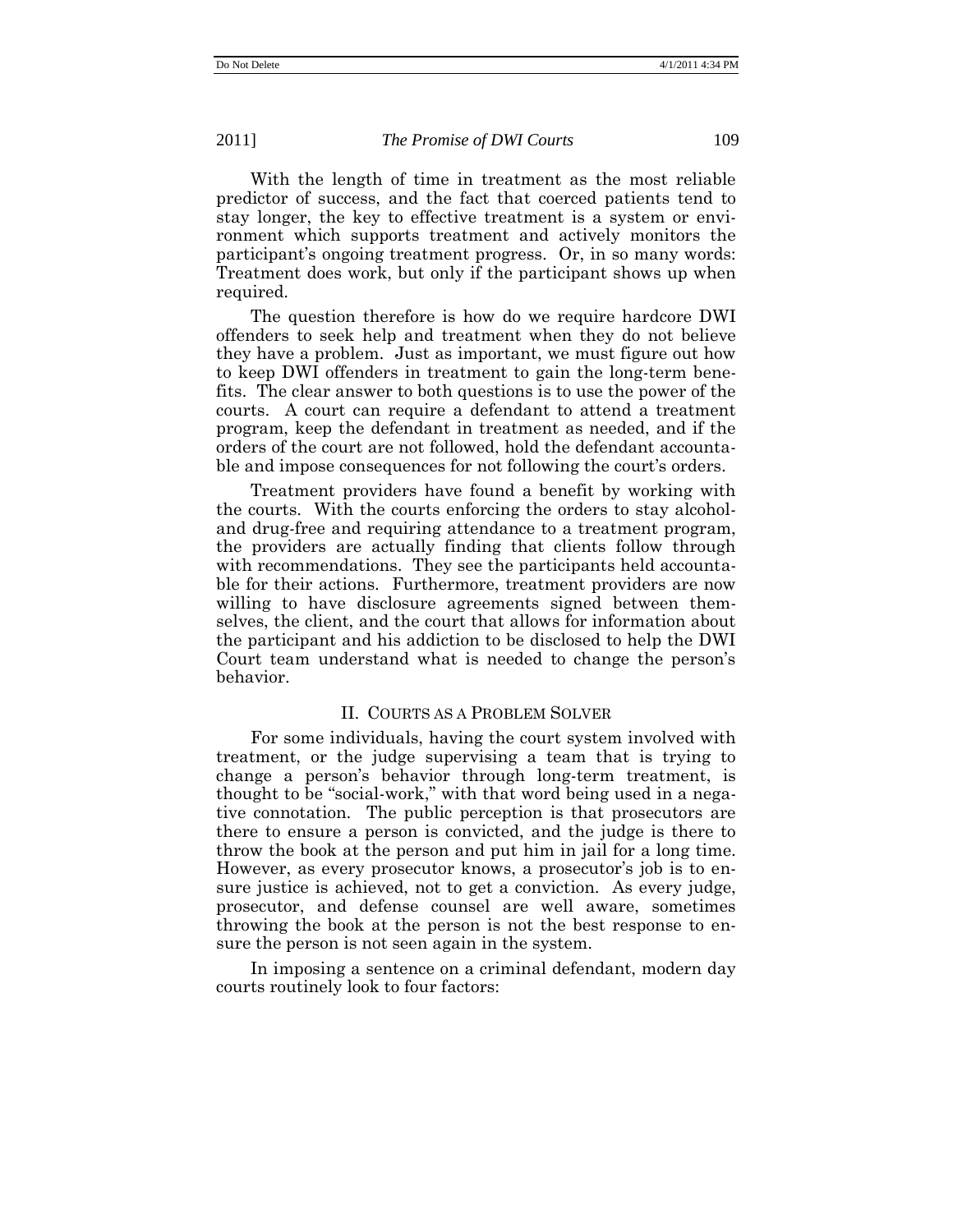With the length of time in treatment as the most reliable predictor of success, and the fact that coerced patients tend to stay longer, the key to effective treatment is a system or environment which supports treatment and actively monitors the participant's ongoing treatment progress. Or, in so many words: Treatment does work, but only if the participant shows up when required.

The question therefore is how do we require hardcore DWI offenders to seek help and treatment when they do not believe they have a problem. Just as important, we must figure out how to keep DWI offenders in treatment to gain the long-term benefits. The clear answer to both questions is to use the power of the courts. A court can require a defendant to attend a treatment program, keep the defendant in treatment as needed, and if the orders of the court are not followed, hold the defendant accountable and impose consequences for not following the court's orders.

Treatment providers have found a benefit by working with the courts. With the courts enforcing the orders to stay alcoholand drug-free and requiring attendance to a treatment program, the providers are actually finding that clients follow through with recommendations. They see the participants held accountable for their actions. Furthermore, treatment providers are now willing to have disclosure agreements signed between themselves, the client, and the court that allows for information about the participant and his addiction to be disclosed to help the DWI Court team understand what is needed to change the person's behavior.

# II. COURTS AS A PROBLEM SOLVER

For some individuals, having the court system involved with treatment, or the judge supervising a team that is trying to change a person's behavior through long-term treatment, is thought to be "social-work," with that word being used in a negative connotation. The public perception is that prosecutors are there to ensure a person is convicted, and the judge is there to throw the book at the person and put him in jail for a long time. However, as every prosecutor knows, a prosecutor's job is to ensure justice is achieved, not to get a conviction. As every judge, prosecutor, and defense counsel are well aware, sometimes throwing the book at the person is not the best response to ensure the person is not seen again in the system.

In imposing a sentence on a criminal defendant, modern day courts routinely look to four factors: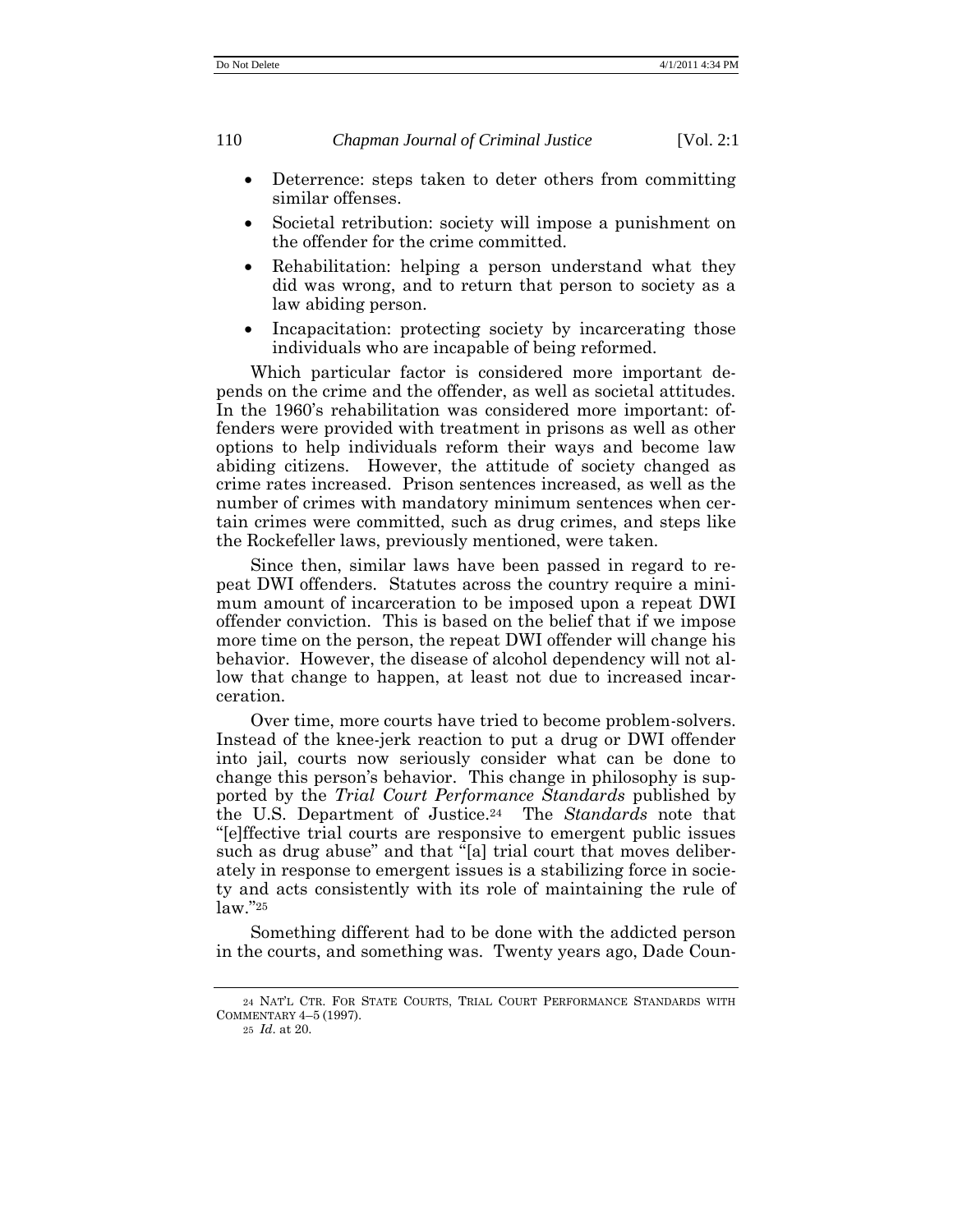- Deterrence: steps taken to deter others from committing similar offenses.
- Societal retribution: society will impose a punishment on the offender for the crime committed.
- Rehabilitation: helping a person understand what they did was wrong, and to return that person to society as a law abiding person.
- Incapacitation: protecting society by incarcerating those individuals who are incapable of being reformed.

Which particular factor is considered more important depends on the crime and the offender, as well as societal attitudes. In the 1960's rehabilitation was considered more important: offenders were provided with treatment in prisons as well as other options to help individuals reform their ways and become law abiding citizens. However, the attitude of society changed as crime rates increased. Prison sentences increased, as well as the number of crimes with mandatory minimum sentences when certain crimes were committed, such as drug crimes, and steps like the Rockefeller laws, previously mentioned, were taken.

Since then, similar laws have been passed in regard to repeat DWI offenders. Statutes across the country require a minimum amount of incarceration to be imposed upon a repeat DWI offender conviction. This is based on the belief that if we impose more time on the person, the repeat DWI offender will change his behavior. However, the disease of alcohol dependency will not allow that change to happen, at least not due to increased incarceration.

Over time, more courts have tried to become problem-solvers. Instead of the knee-jerk reaction to put a drug or DWI offender into jail, courts now seriously consider what can be done to change this person's behavior. This change in philosophy is supported by the *Trial Court Performance Standards* published by the U.S. Department of Justice.<sup>24</sup> The *Standards* note that ―[e]ffective trial courts are responsive to emergent public issues such as drug abuse" and that "[a] trial court that moves deliberately in response to emergent issues is a stabilizing force in society and acts consistently with its role of maintaining the rule of  $law.$ "25

Something different had to be done with the addicted person in the courts, and something was. Twenty years ago, Dade Coun-

<sup>24</sup> NAT'L CTR. FOR STATE COURTS, TRIAL COURT PERFORMANCE STANDARDS WITH COMMENTARY 4–5 (1997).

<sup>25</sup> *Id*. at 20.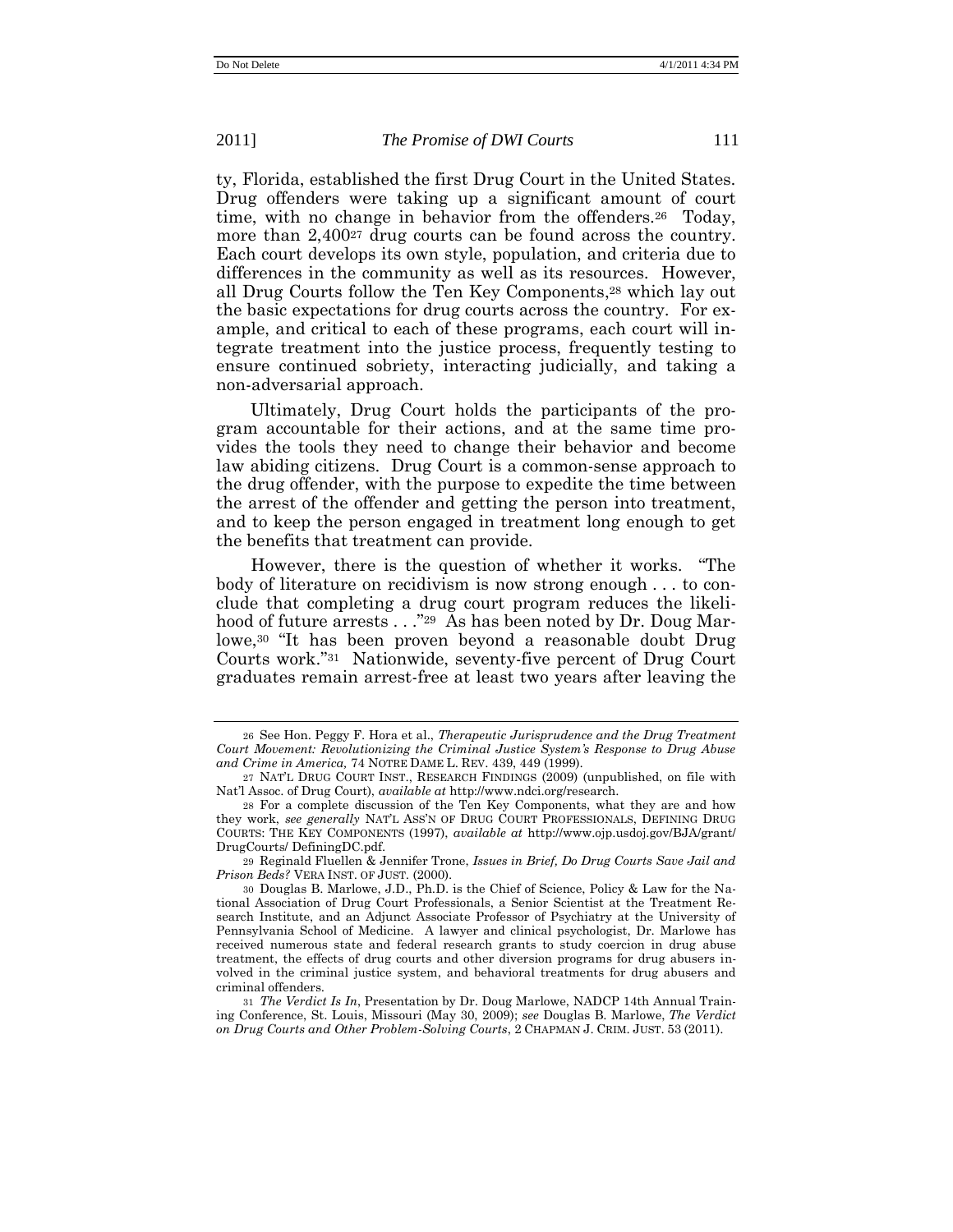ty, Florida, established the first Drug Court in the United States. Drug offenders were taking up a significant amount of court time, with no change in behavior from the offenders.<sup>26</sup> Today, more than 2,400<sup>27</sup> drug courts can be found across the country. Each court develops its own style, population, and criteria due to differences in the community as well as its resources. However, all Drug Courts follow the Ten Key Components, <sup>28</sup> which lay out the basic expectations for drug courts across the country. For example, and critical to each of these programs, each court will integrate treatment into the justice process, frequently testing to ensure continued sobriety, interacting judicially, and taking a non-adversarial approach.

Ultimately, Drug Court holds the participants of the program accountable for their actions, and at the same time provides the tools they need to change their behavior and become law abiding citizens. Drug Court is a common-sense approach to the drug offender, with the purpose to expedite the time between the arrest of the offender and getting the person into treatment, and to keep the person engaged in treatment long enough to get the benefits that treatment can provide.

However, there is the question of whether it works. "The body of literature on recidivism is now strong enough . . . to conclude that completing a drug court program reduces the likelihood of future arrests  $\ldots$ "29 As has been noted by Dr. Doug Marlowe,<sup>30</sup> "It has been proven beyond a reasonable doubt Drug Courts work."31 Nationwide, seventy-five percent of Drug Court graduates remain arrest-free at least two years after leaving the

<sup>26</sup> See Hon. Peggy F. Hora et al., *Therapeutic Jurisprudence and the Drug Treatment Court Movement: Revolutionizing the Criminal Justice System's Response to Drug Abuse and Crime in America,* 74 NOTRE DAME L. REV. 439, 449 (1999).

<sup>27</sup> NAT'L DRUG COURT INST., RESEARCH FINDINGS (2009) (unpublished, on file with Nat'l Assoc. of Drug Court), *available at* http://www.ndci.org/research.

<sup>28</sup> For a complete discussion of the Ten Key Components, what they are and how they work, *see generally* NAT'L ASS'N OF DRUG COURT PROFESSIONALS, DEFINING DRUG COURTS: THE KEY COMPONENTS (1997), *available at* http://www.ojp.usdoj.gov/BJA/grant/ DrugCourts/ DefiningDC.pdf.

<sup>29</sup> Reginald Fluellen & Jennifer Trone, *Issues in Brief, Do Drug Courts Save Jail and Prison Beds?* VERA INST. OF JUST. (2000).

<sup>30</sup> Douglas B. Marlowe, J.D., Ph.D. is the Chief of Science, Policy & Law for the National Association of Drug Court Professionals, a Senior Scientist at the Treatment Research Institute, and an Adjunct Associate Professor of Psychiatry at the University of Pennsylvania School of Medicine. A lawyer and clinical psychologist, Dr. Marlowe has received numerous state and federal research grants to study coercion in drug abuse treatment, the effects of drug courts and other diversion programs for drug abusers involved in the criminal justice system, and behavioral treatments for drug abusers and criminal offenders.

<sup>31</sup> *The Verdict Is In*, Presentation by Dr. Doug Marlowe, NADCP 14th Annual Training Conference, St. Louis, Missouri (May 30, 2009); *see* Douglas B. Marlowe, *The Verdict on Drug Courts and Other Problem-Solving Courts*, 2 CHAPMAN J. CRIM. JUST. 53 (2011).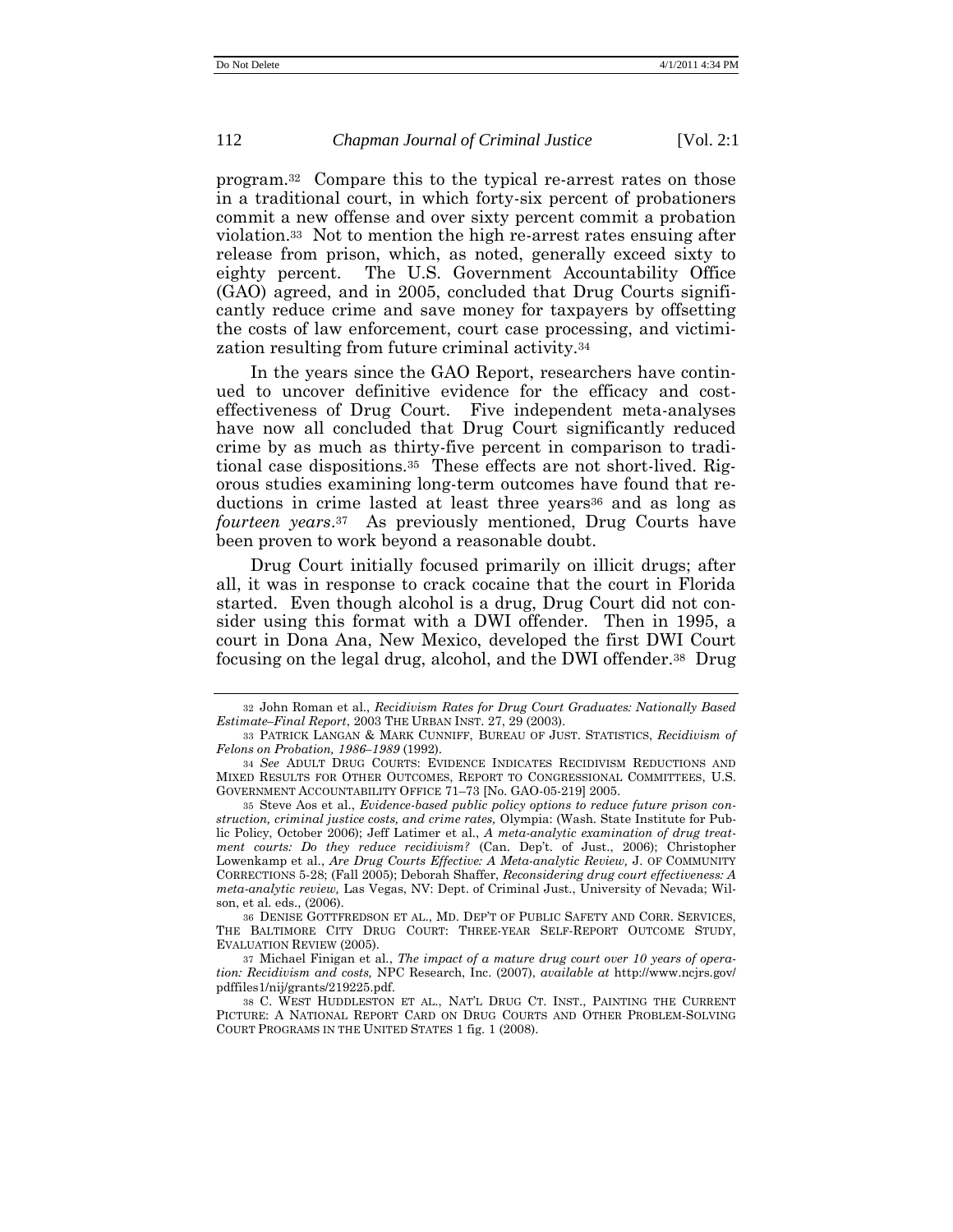program.<sup>32</sup> Compare this to the typical re-arrest rates on those in a traditional court, in which forty-six percent of probationers commit a new offense and over sixty percent commit a probation violation.<sup>33</sup> Not to mention the high re-arrest rates ensuing after release from prison, which, as noted, generally exceed sixty to eighty percent. The U.S. Government Accountability Office (GAO) agreed, and in 2005, concluded that Drug Courts significantly reduce crime and save money for taxpayers by offsetting the costs of law enforcement, court case processing, and victimization resulting from future criminal activity.<sup>34</sup>

In the years since the GAO Report, researchers have continued to uncover definitive evidence for the efficacy and costeffectiveness of Drug Court. Five independent meta-analyses have now all concluded that Drug Court significantly reduced crime by as much as thirty-five percent in comparison to traditional case dispositions.<sup>35</sup> These effects are not short-lived. Rigorous studies examining long-term outcomes have found that reductions in crime lasted at least three years<sup>36</sup> and as long as *fourteen years*. <sup>37</sup> As previously mentioned, Drug Courts have been proven to work beyond a reasonable doubt.

Drug Court initially focused primarily on illicit drugs; after all, it was in response to crack cocaine that the court in Florida started. Even though alcohol is a drug, Drug Court did not consider using this format with a DWI offender. Then in 1995, a court in Dona Ana, New Mexico, developed the first DWI Court focusing on the legal drug, alcohol, and the DWI offender.<sup>38</sup> Drug

<sup>32</sup> John Roman et al., *Recidivism Rates for Drug Court Graduates: Nationally Based Estimate–Final Report*, 2003 THE URBAN INST. 27, 29 (2003).

<sup>33</sup> PATRICK LANGAN & MARK CUNNIFF, BUREAU OF JUST. STATISTICS, *Recidivism of Felons on Probation, 1986–1989* (1992).

<sup>34</sup> *See* ADULT DRUG COURTS: EVIDENCE INDICATES RECIDIVISM REDUCTIONS AND MIXED RESULTS FOR OTHER OUTCOMES, REPORT TO CONGRESSIONAL COMMITTEES, U.S. GOVERNMENT ACCOUNTABILITY OFFICE 71–73 [No. GAO-05-219] 2005.

<sup>35</sup> Steve Aos et al., *Evidence-based public policy options to reduce future prison construction, criminal justice costs, and crime rates,* Olympia: (Wash. State Institute for Public Policy, October 2006); Jeff Latimer et al., *A meta-analytic examination of drug treatment courts: Do they reduce recidivism?* (Can. Dep't. of Just., 2006); Christopher Lowenkamp et al., *Are Drug Courts Effective: A Meta-analytic Review,* J. OF COMMUNITY CORRECTIONS 5-28; (Fall 2005); Deborah Shaffer, *Reconsidering drug court effectiveness: A meta-analytic review,* Las Vegas, NV: Dept. of Criminal Just., University of Nevada; Wilson, et al. eds., (2006).

<sup>36</sup> DENISE GOTTFREDSON ET AL., MD. DEP'T OF PUBLIC SAFETY AND CORR. SERVICES, THE BALTIMORE CITY DRUG COURT: THREE-YEAR SELF-REPORT OUTCOME STUDY, EVALUATION REVIEW (2005).

<sup>37</sup> Michael Finigan et al., *The impact of a mature drug court over 10 years of operation: Recidivism and costs,* NPC Research, Inc. (2007), *available at* http://www.ncjrs.gov/ pdffiles1/nij/grants/219225.pdf.

<sup>38</sup> C. WEST HUDDLESTON ET AL., NAT'L DRUG CT. INST., PAINTING THE CURRENT PICTURE: A NATIONAL REPORT CARD ON DRUG COURTS AND OTHER PROBLEM-SOLVING COURT PROGRAMS IN THE UNITED STATES 1 fig. 1 (2008).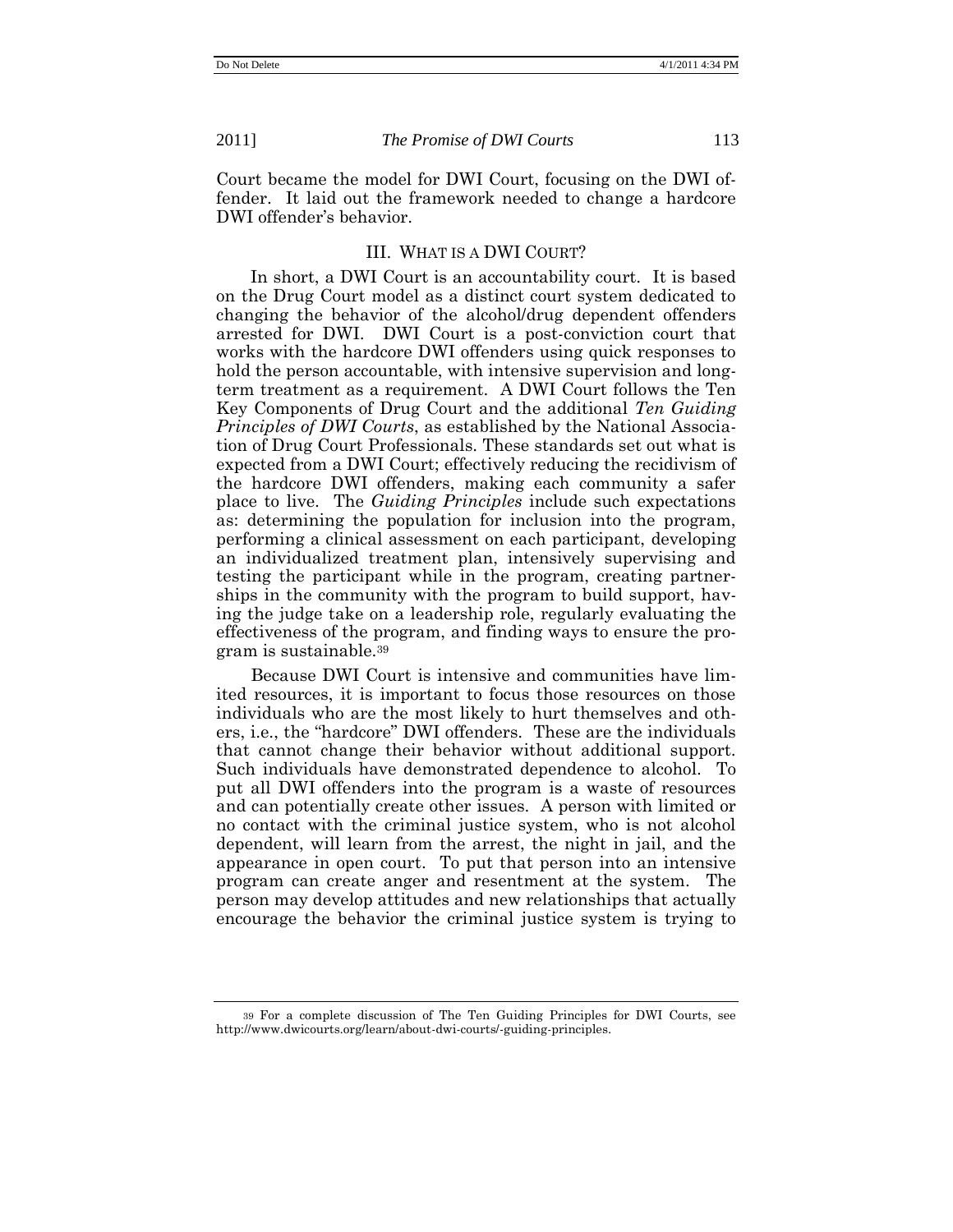Court became the model for DWI Court, focusing on the DWI offender. It laid out the framework needed to change a hardcore DWI offender's behavior.

## III. WHAT IS A DWI COURT?

In short, a DWI Court is an accountability court. It is based on the Drug Court model as a distinct court system dedicated to changing the behavior of the alcohol/drug dependent offenders arrested for DWI. DWI Court is a post-conviction court that works with the hardcore DWI offenders using quick responses to hold the person accountable, with intensive supervision and longterm treatment as a requirement. A DWI Court follows the Ten Key Components of Drug Court and the additional *Ten Guiding Principles of DWI Courts*, as established by the National Association of Drug Court Professionals. These standards set out what is expected from a DWI Court; effectively reducing the recidivism of the hardcore DWI offenders, making each community a safer place to live. The *Guiding Principles* include such expectations as: determining the population for inclusion into the program, performing a clinical assessment on each participant, developing an individualized treatment plan, intensively supervising and testing the participant while in the program, creating partnerships in the community with the program to build support, having the judge take on a leadership role, regularly evaluating the effectiveness of the program, and finding ways to ensure the program is sustainable.<sup>39</sup>

Because DWI Court is intensive and communities have limited resources, it is important to focus those resources on those individuals who are the most likely to hurt themselves and others, i.e., the "hardcore" DWI offenders. These are the individuals that cannot change their behavior without additional support. Such individuals have demonstrated dependence to alcohol. To put all DWI offenders into the program is a waste of resources and can potentially create other issues. A person with limited or no contact with the criminal justice system, who is not alcohol dependent, will learn from the arrest, the night in jail, and the appearance in open court. To put that person into an intensive program can create anger and resentment at the system. The person may develop attitudes and new relationships that actually encourage the behavior the criminal justice system is trying to

<sup>39</sup> For a complete discussion of The Ten Guiding Principles for DWI Courts, see http://www.dwicourts.org/learn/about-dwi-courts/-guiding-principles.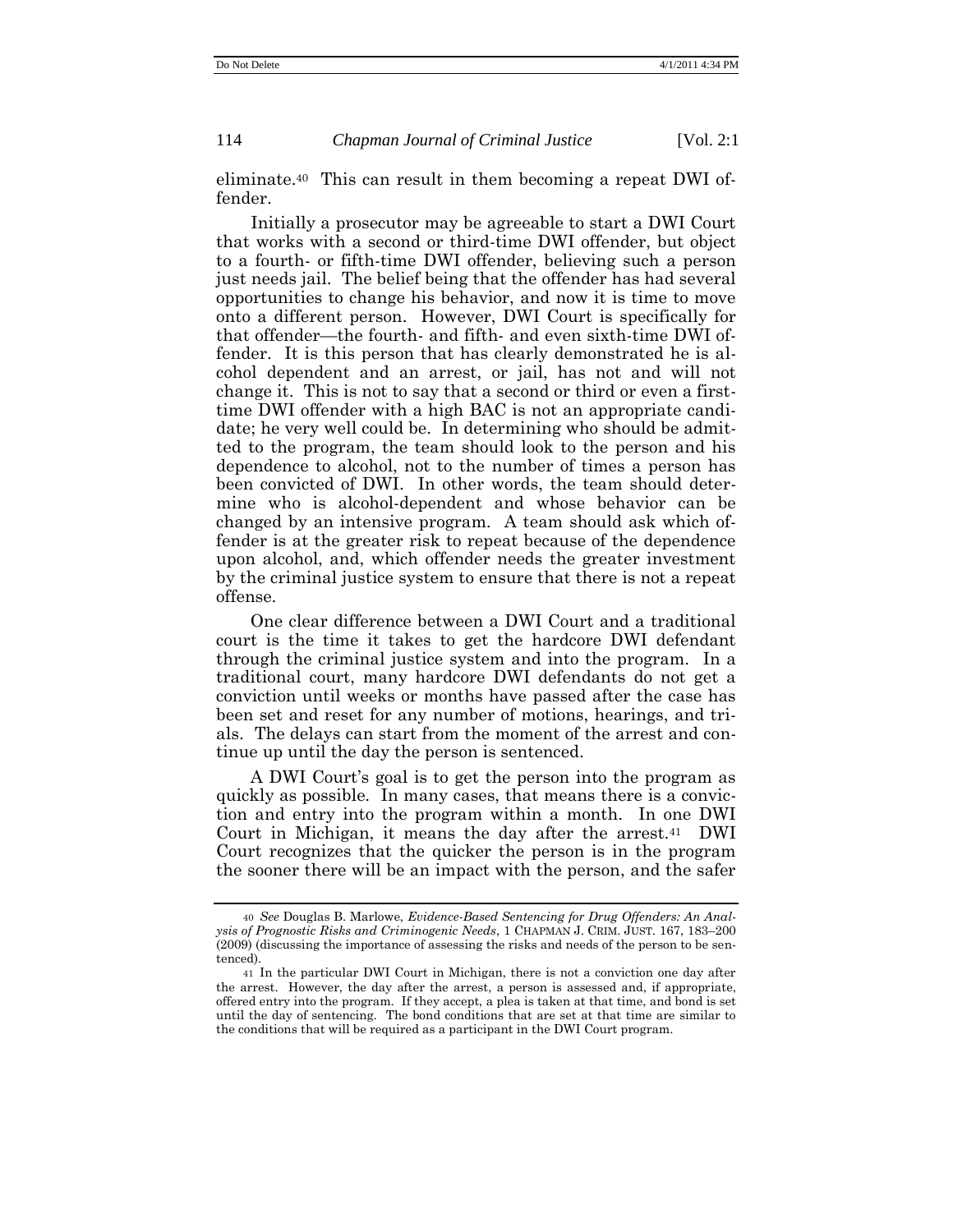eliminate.<sup>40</sup> This can result in them becoming a repeat DWI offender.

Initially a prosecutor may be agreeable to start a DWI Court that works with a second or third-time DWI offender, but object to a fourth- or fifth-time DWI offender, believing such a person just needs jail. The belief being that the offender has had several opportunities to change his behavior, and now it is time to move onto a different person. However, DWI Court is specifically for that offender—the fourth- and fifth- and even sixth-time DWI offender. It is this person that has clearly demonstrated he is alcohol dependent and an arrest, or jail, has not and will not change it. This is not to say that a second or third or even a firsttime DWI offender with a high BAC is not an appropriate candidate; he very well could be. In determining who should be admitted to the program, the team should look to the person and his dependence to alcohol, not to the number of times a person has been convicted of DWI. In other words, the team should determine who is alcohol-dependent and whose behavior can be changed by an intensive program. A team should ask which offender is at the greater risk to repeat because of the dependence upon alcohol, and, which offender needs the greater investment by the criminal justice system to ensure that there is not a repeat offense.

One clear difference between a DWI Court and a traditional court is the time it takes to get the hardcore DWI defendant through the criminal justice system and into the program. In a traditional court, many hardcore DWI defendants do not get a conviction until weeks or months have passed after the case has been set and reset for any number of motions, hearings, and trials. The delays can start from the moment of the arrest and continue up until the day the person is sentenced.

A DWI Court's goal is to get the person into the program as quickly as possible. In many cases, that means there is a conviction and entry into the program within a month. In one DWI Court in Michigan, it means the day after the arrest.<sup>41</sup> DWI Court recognizes that the quicker the person is in the program the sooner there will be an impact with the person, and the safer

<sup>40</sup> *See* Douglas B. Marlowe, *Evidence-Based Sentencing for Drug Offenders: An Analysis of Prognostic Risks and Criminogenic Needs*, 1 CHAPMAN J. CRIM. JUST. 167, 183–200 (2009) (discussing the importance of assessing the risks and needs of the person to be sentenced).

<sup>41</sup> In the particular DWI Court in Michigan, there is not a conviction one day after the arrest. However, the day after the arrest, a person is assessed and, if appropriate, offered entry into the program. If they accept, a plea is taken at that time, and bond is set until the day of sentencing. The bond conditions that are set at that time are similar to the conditions that will be required as a participant in the DWI Court program.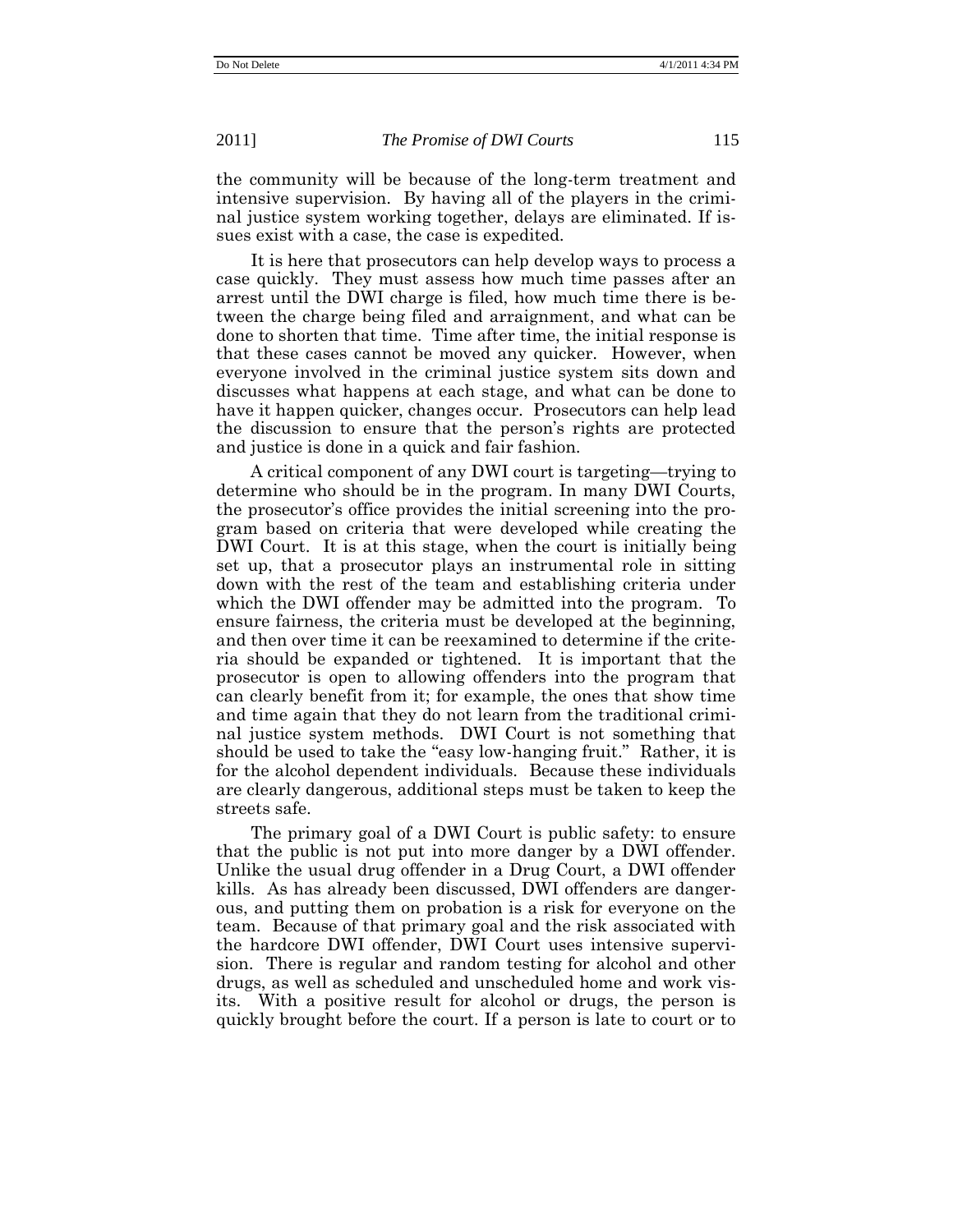the community will be because of the long-term treatment and intensive supervision. By having all of the players in the criminal justice system working together, delays are eliminated. If issues exist with a case, the case is expedited.

It is here that prosecutors can help develop ways to process a case quickly. They must assess how much time passes after an arrest until the DWI charge is filed, how much time there is between the charge being filed and arraignment, and what can be done to shorten that time. Time after time, the initial response is that these cases cannot be moved any quicker. However, when everyone involved in the criminal justice system sits down and discusses what happens at each stage, and what can be done to have it happen quicker, changes occur. Prosecutors can help lead the discussion to ensure that the person's rights are protected and justice is done in a quick and fair fashion.

A critical component of any DWI court is targeting—trying to determine who should be in the program. In many DWI Courts, the prosecutor's office provides the initial screening into the program based on criteria that were developed while creating the DWI Court. It is at this stage, when the court is initially being set up, that a prosecutor plays an instrumental role in sitting down with the rest of the team and establishing criteria under which the DWI offender may be admitted into the program. To ensure fairness, the criteria must be developed at the beginning, and then over time it can be reexamined to determine if the criteria should be expanded or tightened. It is important that the prosecutor is open to allowing offenders into the program that can clearly benefit from it; for example, the ones that show time and time again that they do not learn from the traditional criminal justice system methods. DWI Court is not something that should be used to take the "easy low-hanging fruit." Rather, it is for the alcohol dependent individuals. Because these individuals are clearly dangerous, additional steps must be taken to keep the streets safe.

The primary goal of a DWI Court is public safety: to ensure that the public is not put into more danger by a DWI offender. Unlike the usual drug offender in a Drug Court, a DWI offender kills. As has already been discussed, DWI offenders are dangerous, and putting them on probation is a risk for everyone on the team. Because of that primary goal and the risk associated with the hardcore DWI offender, DWI Court uses intensive supervision. There is regular and random testing for alcohol and other drugs, as well as scheduled and unscheduled home and work visits. With a positive result for alcohol or drugs, the person is quickly brought before the court. If a person is late to court or to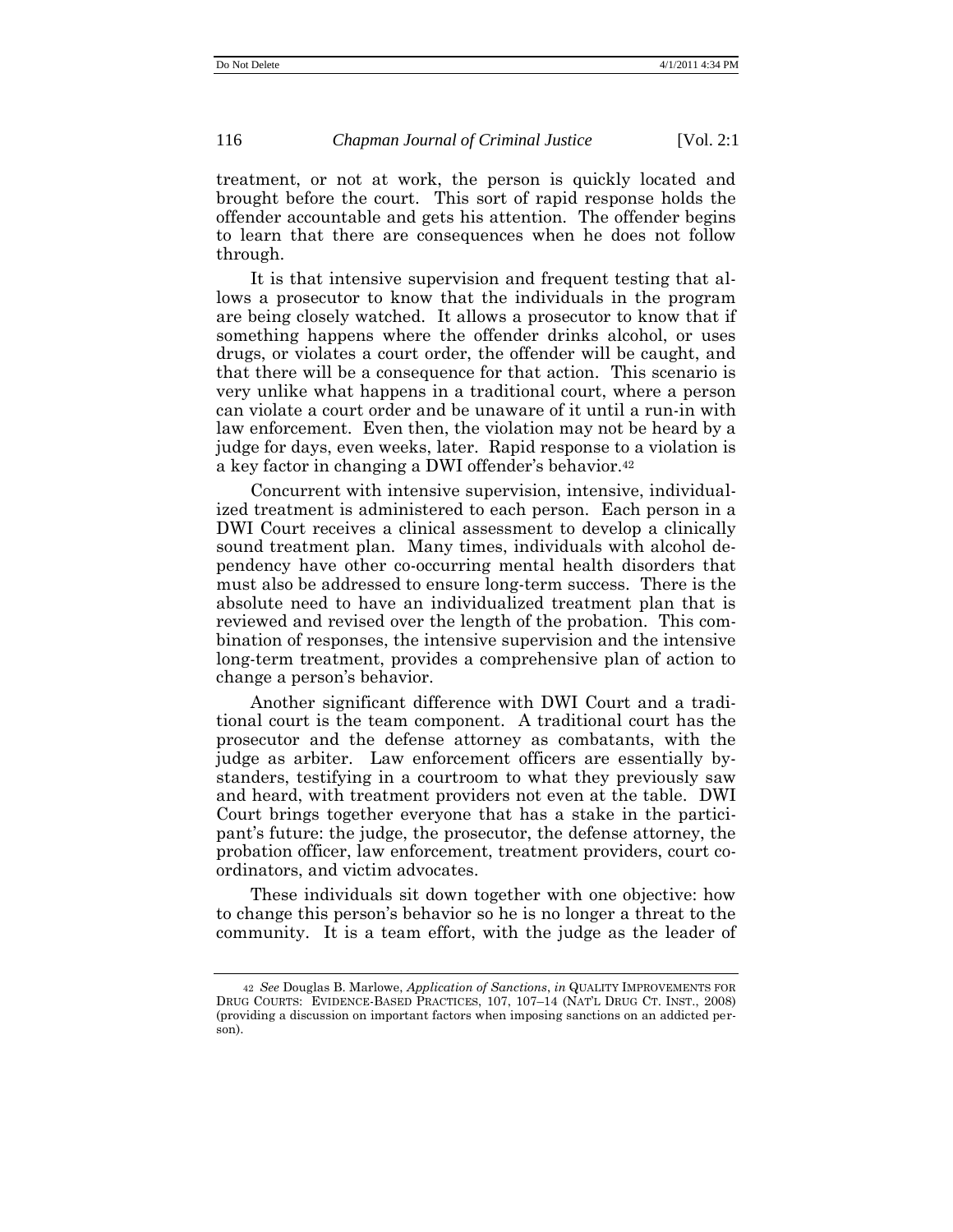treatment, or not at work, the person is quickly located and brought before the court. This sort of rapid response holds the offender accountable and gets his attention. The offender begins to learn that there are consequences when he does not follow through.

It is that intensive supervision and frequent testing that allows a prosecutor to know that the individuals in the program are being closely watched. It allows a prosecutor to know that if something happens where the offender drinks alcohol, or uses drugs, or violates a court order, the offender will be caught, and that there will be a consequence for that action. This scenario is very unlike what happens in a traditional court, where a person can violate a court order and be unaware of it until a run-in with law enforcement. Even then, the violation may not be heard by a judge for days, even weeks, later. Rapid response to a violation is a key factor in changing a DWI offender's behavior.<sup>42</sup>

Concurrent with intensive supervision, intensive, individualized treatment is administered to each person. Each person in a DWI Court receives a clinical assessment to develop a clinically sound treatment plan. Many times, individuals with alcohol dependency have other co-occurring mental health disorders that must also be addressed to ensure long-term success. There is the absolute need to have an individualized treatment plan that is reviewed and revised over the length of the probation. This combination of responses, the intensive supervision and the intensive long-term treatment, provides a comprehensive plan of action to change a person's behavior.

Another significant difference with DWI Court and a traditional court is the team component. A traditional court has the prosecutor and the defense attorney as combatants, with the judge as arbiter. Law enforcement officers are essentially bystanders, testifying in a courtroom to what they previously saw and heard, with treatment providers not even at the table. DWI Court brings together everyone that has a stake in the participant's future: the judge, the prosecutor, the defense attorney, the probation officer, law enforcement, treatment providers, court coordinators, and victim advocates.

These individuals sit down together with one objective: how to change this person's behavior so he is no longer a threat to the community. It is a team effort, with the judge as the leader of

<sup>42</sup> *See* Douglas B. Marlowe, *Application of Sanctions*, *in* QUALITY IMPROVEMENTS FOR DRUG COURTS: EVIDENCE-BASED PRACTICES, 107, 107–14 (NAT'L DRUG CT. INST., 2008) (providing a discussion on important factors when imposing sanctions on an addicted person).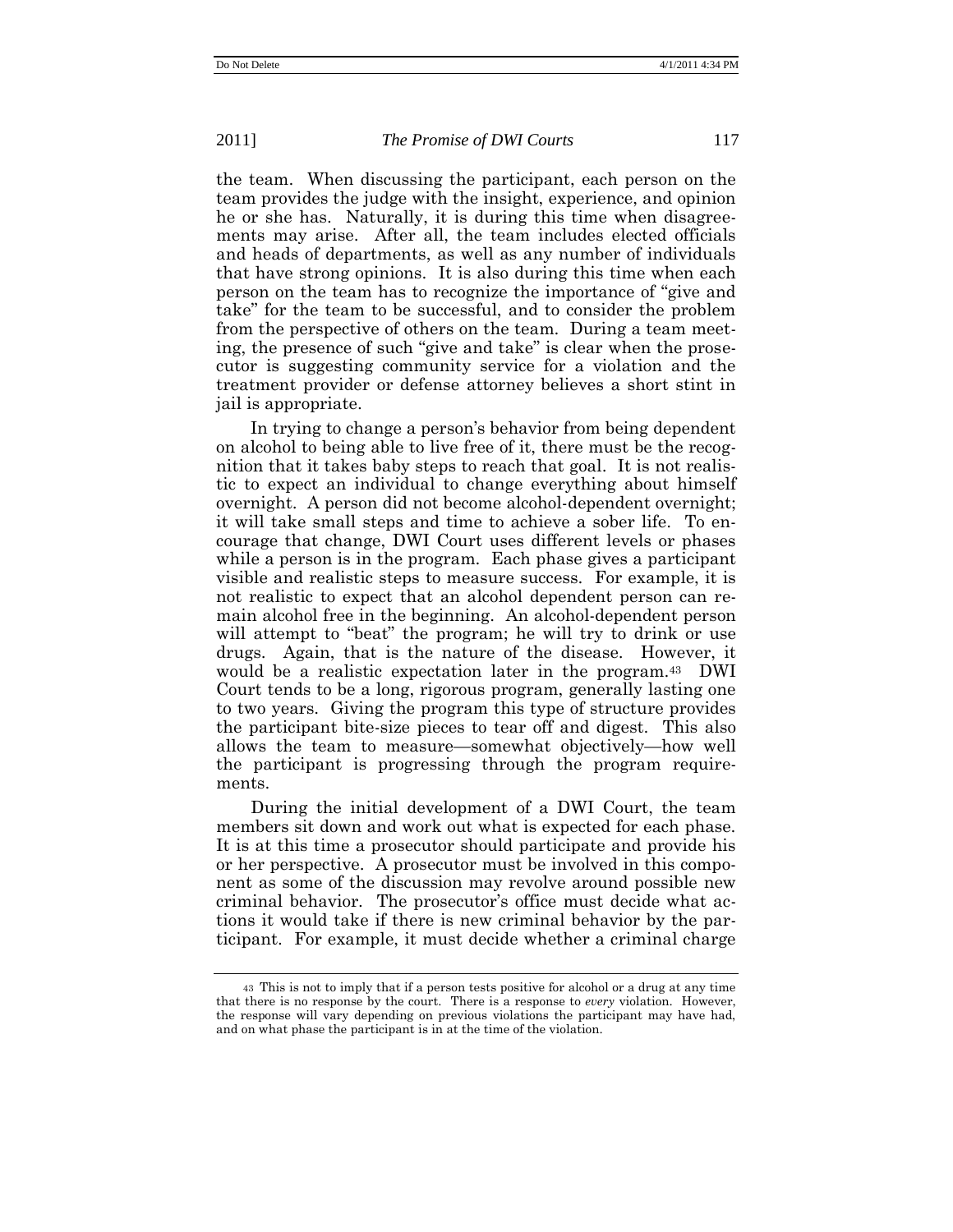the team. When discussing the participant, each person on the team provides the judge with the insight, experience, and opinion he or she has. Naturally, it is during this time when disagreements may arise. After all, the team includes elected officials and heads of departments, as well as any number of individuals that have strong opinions. It is also during this time when each person on the team has to recognize the importance of "give and" take‖ for the team to be successful, and to consider the problem from the perspective of others on the team. During a team meeting, the presence of such "give and take" is clear when the prosecutor is suggesting community service for a violation and the treatment provider or defense attorney believes a short stint in jail is appropriate.

In trying to change a person's behavior from being dependent on alcohol to being able to live free of it, there must be the recognition that it takes baby steps to reach that goal. It is not realistic to expect an individual to change everything about himself overnight. A person did not become alcohol-dependent overnight; it will take small steps and time to achieve a sober life. To encourage that change, DWI Court uses different levels or phases while a person is in the program. Each phase gives a participant visible and realistic steps to measure success. For example, it is not realistic to expect that an alcohol dependent person can remain alcohol free in the beginning. An alcohol-dependent person will attempt to "beat" the program; he will try to drink or use drugs. Again, that is the nature of the disease. However, it would be a realistic expectation later in the program.<sup>43</sup> DWI Court tends to be a long, rigorous program, generally lasting one to two years. Giving the program this type of structure provides the participant bite-size pieces to tear off and digest. This also allows the team to measure—somewhat objectively—how well the participant is progressing through the program requirements.

During the initial development of a DWI Court, the team members sit down and work out what is expected for each phase. It is at this time a prosecutor should participate and provide his or her perspective. A prosecutor must be involved in this component as some of the discussion may revolve around possible new criminal behavior. The prosecutor's office must decide what actions it would take if there is new criminal behavior by the participant. For example, it must decide whether a criminal charge

<sup>43</sup> This is not to imply that if a person tests positive for alcohol or a drug at any time that there is no response by the court. There is a response to *every* violation. However, the response will vary depending on previous violations the participant may have had, and on what phase the participant is in at the time of the violation.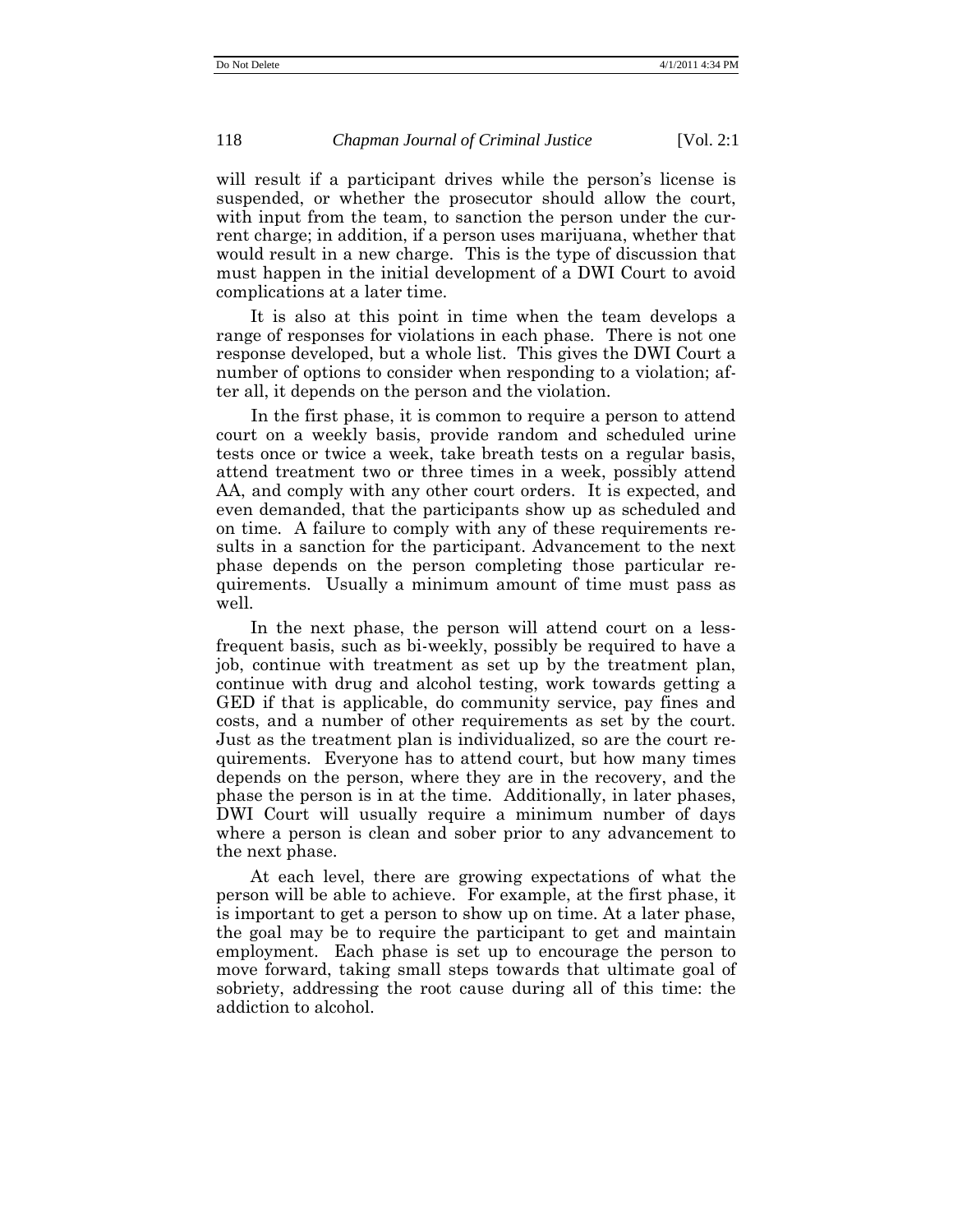will result if a participant drives while the person's license is suspended, or whether the prosecutor should allow the court, with input from the team, to sanction the person under the current charge; in addition, if a person uses marijuana, whether that would result in a new charge. This is the type of discussion that must happen in the initial development of a DWI Court to avoid complications at a later time.

It is also at this point in time when the team develops a range of responses for violations in each phase. There is not one response developed, but a whole list. This gives the DWI Court a number of options to consider when responding to a violation; after all, it depends on the person and the violation.

In the first phase, it is common to require a person to attend court on a weekly basis, provide random and scheduled urine tests once or twice a week, take breath tests on a regular basis, attend treatment two or three times in a week, possibly attend AA, and comply with any other court orders. It is expected, and even demanded, that the participants show up as scheduled and on time. A failure to comply with any of these requirements results in a sanction for the participant. Advancement to the next phase depends on the person completing those particular requirements. Usually a minimum amount of time must pass as well.

In the next phase, the person will attend court on a lessfrequent basis, such as bi-weekly, possibly be required to have a job, continue with treatment as set up by the treatment plan, continue with drug and alcohol testing, work towards getting a GED if that is applicable, do community service, pay fines and costs, and a number of other requirements as set by the court. Just as the treatment plan is individualized, so are the court requirements. Everyone has to attend court, but how many times depends on the person, where they are in the recovery, and the phase the person is in at the time. Additionally, in later phases, DWI Court will usually require a minimum number of days where a person is clean and sober prior to any advancement to the next phase.

At each level, there are growing expectations of what the person will be able to achieve. For example, at the first phase, it is important to get a person to show up on time. At a later phase, the goal may be to require the participant to get and maintain employment. Each phase is set up to encourage the person to move forward, taking small steps towards that ultimate goal of sobriety, addressing the root cause during all of this time: the addiction to alcohol.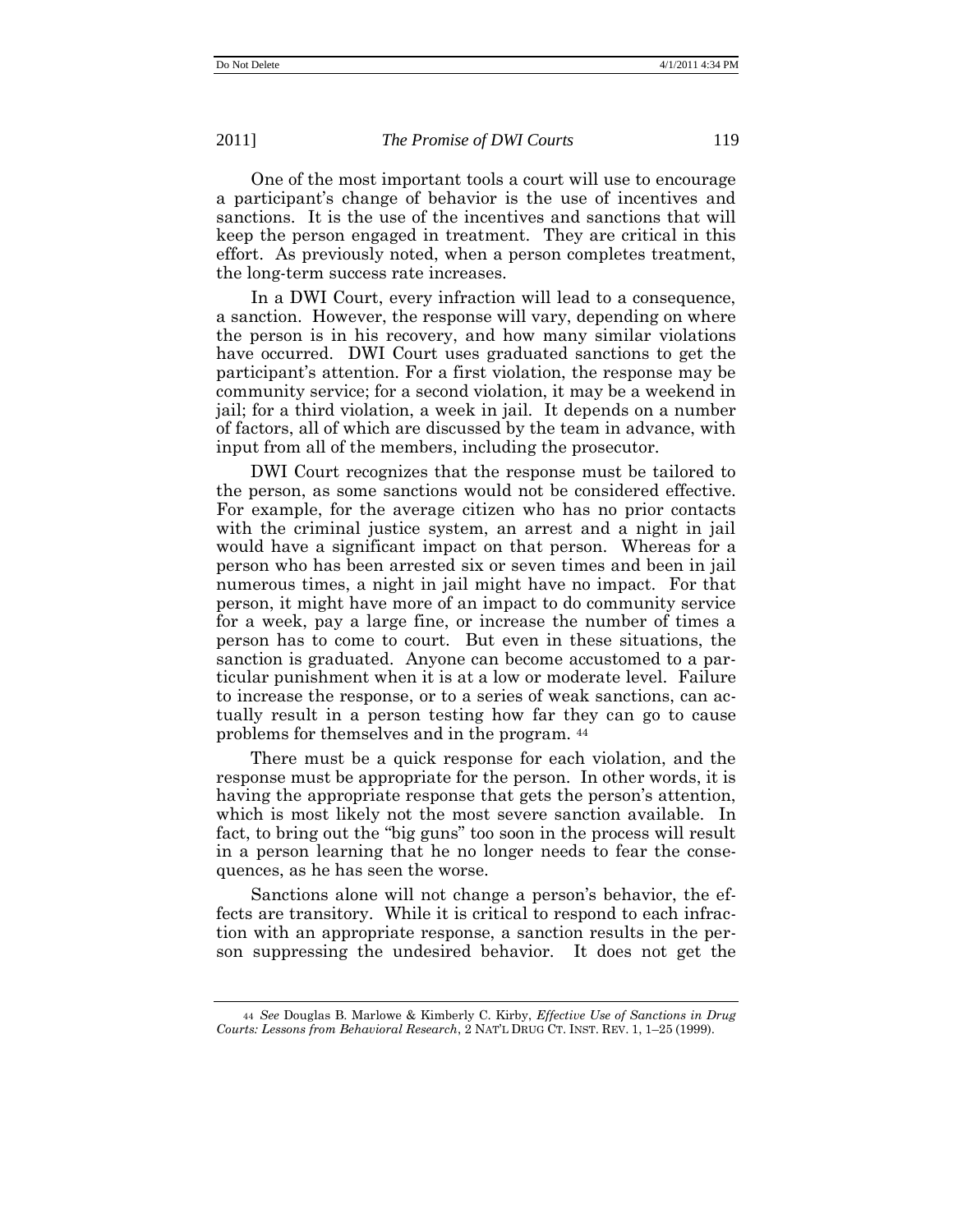One of the most important tools a court will use to encourage a participant's change of behavior is the use of incentives and sanctions. It is the use of the incentives and sanctions that will keep the person engaged in treatment. They are critical in this effort. As previously noted, when a person completes treatment, the long-term success rate increases.

In a DWI Court, every infraction will lead to a consequence, a sanction. However, the response will vary, depending on where the person is in his recovery, and how many similar violations have occurred. DWI Court uses graduated sanctions to get the participant's attention. For a first violation, the response may be community service; for a second violation, it may be a weekend in jail; for a third violation, a week in jail. It depends on a number of factors, all of which are discussed by the team in advance, with input from all of the members, including the prosecutor.

DWI Court recognizes that the response must be tailored to the person, as some sanctions would not be considered effective. For example, for the average citizen who has no prior contacts with the criminal justice system, an arrest and a night in jail would have a significant impact on that person. Whereas for a person who has been arrested six or seven times and been in jail numerous times, a night in jail might have no impact. For that person, it might have more of an impact to do community service for a week, pay a large fine, or increase the number of times a person has to come to court. But even in these situations, the sanction is graduated. Anyone can become accustomed to a particular punishment when it is at a low or moderate level. Failure to increase the response, or to a series of weak sanctions, can actually result in a person testing how far they can go to cause problems for themselves and in the program. <sup>44</sup>

There must be a quick response for each violation, and the response must be appropriate for the person. In other words, it is having the appropriate response that gets the person's attention, which is most likely not the most severe sanction available. In fact, to bring out the "big guns" too soon in the process will result in a person learning that he no longer needs to fear the consequences, as he has seen the worse.

Sanctions alone will not change a person's behavior, the effects are transitory. While it is critical to respond to each infraction with an appropriate response, a sanction results in the person suppressing the undesired behavior. It does not get the

<sup>44</sup> *See* Douglas B. Marlowe & Kimberly C. Kirby, *Effective Use of Sanctions in Drug Courts: Lessons from Behavioral Research*, 2 NAT'L DRUG CT. INST. REV. 1, 1–25 (1999).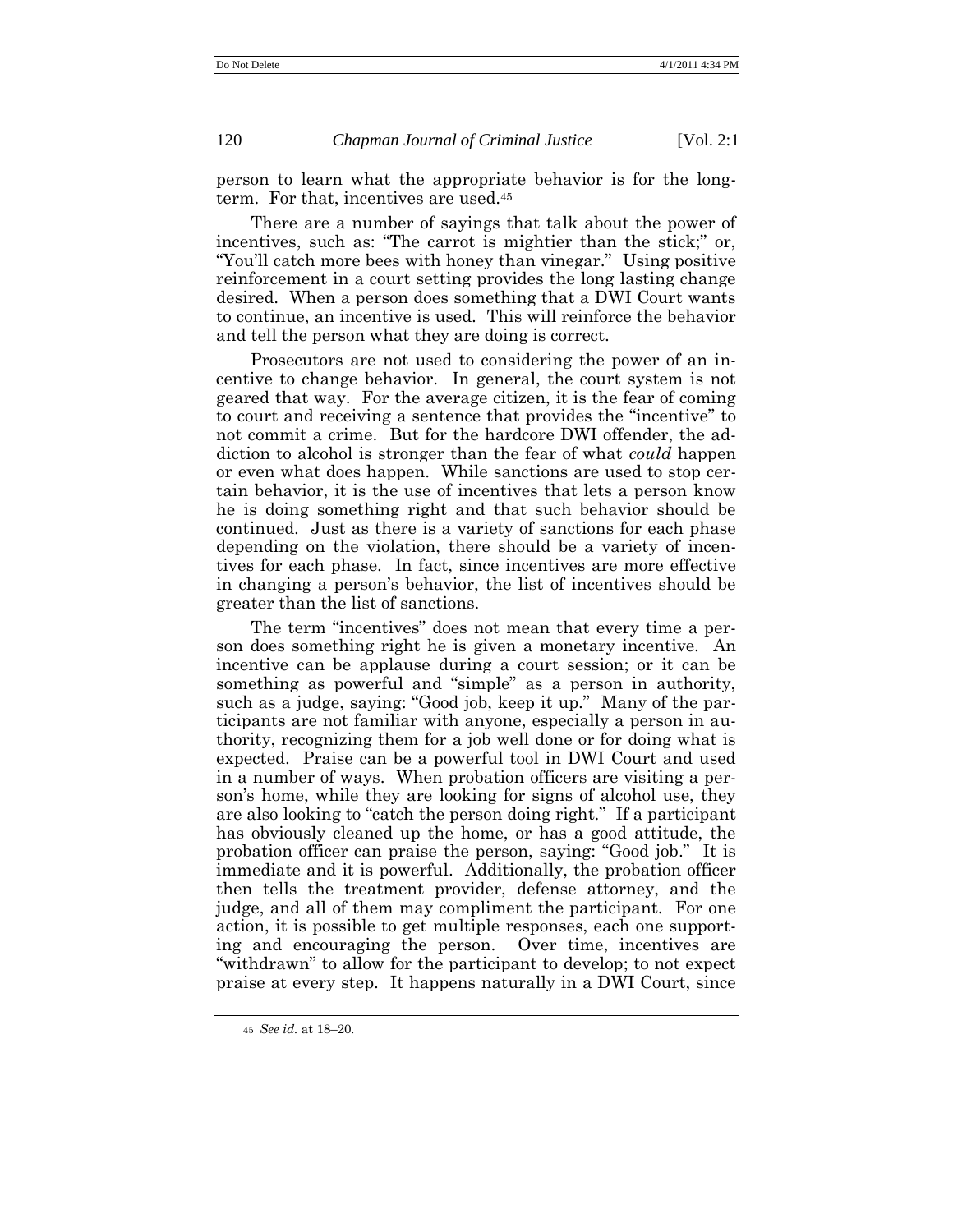person to learn what the appropriate behavior is for the longterm. For that, incentives are used.<sup>45</sup>

There are a number of sayings that talk about the power of incentives, such as: "The carrot is mightier than the stick;" or, "You'll catch more bees with honey than vinegar." Using positive reinforcement in a court setting provides the long lasting change desired. When a person does something that a DWI Court wants to continue, an incentive is used. This will reinforce the behavior and tell the person what they are doing is correct.

Prosecutors are not used to considering the power of an incentive to change behavior. In general, the court system is not geared that way. For the average citizen, it is the fear of coming to court and receiving a sentence that provides the "incentive" to not commit a crime. But for the hardcore DWI offender, the addiction to alcohol is stronger than the fear of what *could* happen or even what does happen. While sanctions are used to stop certain behavior, it is the use of incentives that lets a person know he is doing something right and that such behavior should be continued. Just as there is a variety of sanctions for each phase depending on the violation, there should be a variety of incentives for each phase. In fact, since incentives are more effective in changing a person's behavior, the list of incentives should be greater than the list of sanctions.

The term "incentives" does not mean that every time a person does something right he is given a monetary incentive. An incentive can be applause during a court session; or it can be something as powerful and "simple" as a person in authority, such as a judge, saying: "Good job, keep it up." Many of the participants are not familiar with anyone, especially a person in authority, recognizing them for a job well done or for doing what is expected. Praise can be a powerful tool in DWI Court and used in a number of ways. When probation officers are visiting a person's home, while they are looking for signs of alcohol use, they are also looking to "catch the person doing right." If a participant has obviously cleaned up the home, or has a good attitude, the probation officer can praise the person, saying: "Good job." It is immediate and it is powerful. Additionally, the probation officer then tells the treatment provider, defense attorney, and the judge, and all of them may compliment the participant. For one action, it is possible to get multiple responses, each one supporting and encouraging the person. Over time, incentives are ―withdrawn‖ to allow for the participant to develop; to not expect praise at every step. It happens naturally in a DWI Court, since

<sup>45</sup> *See id.* at 18–20*.*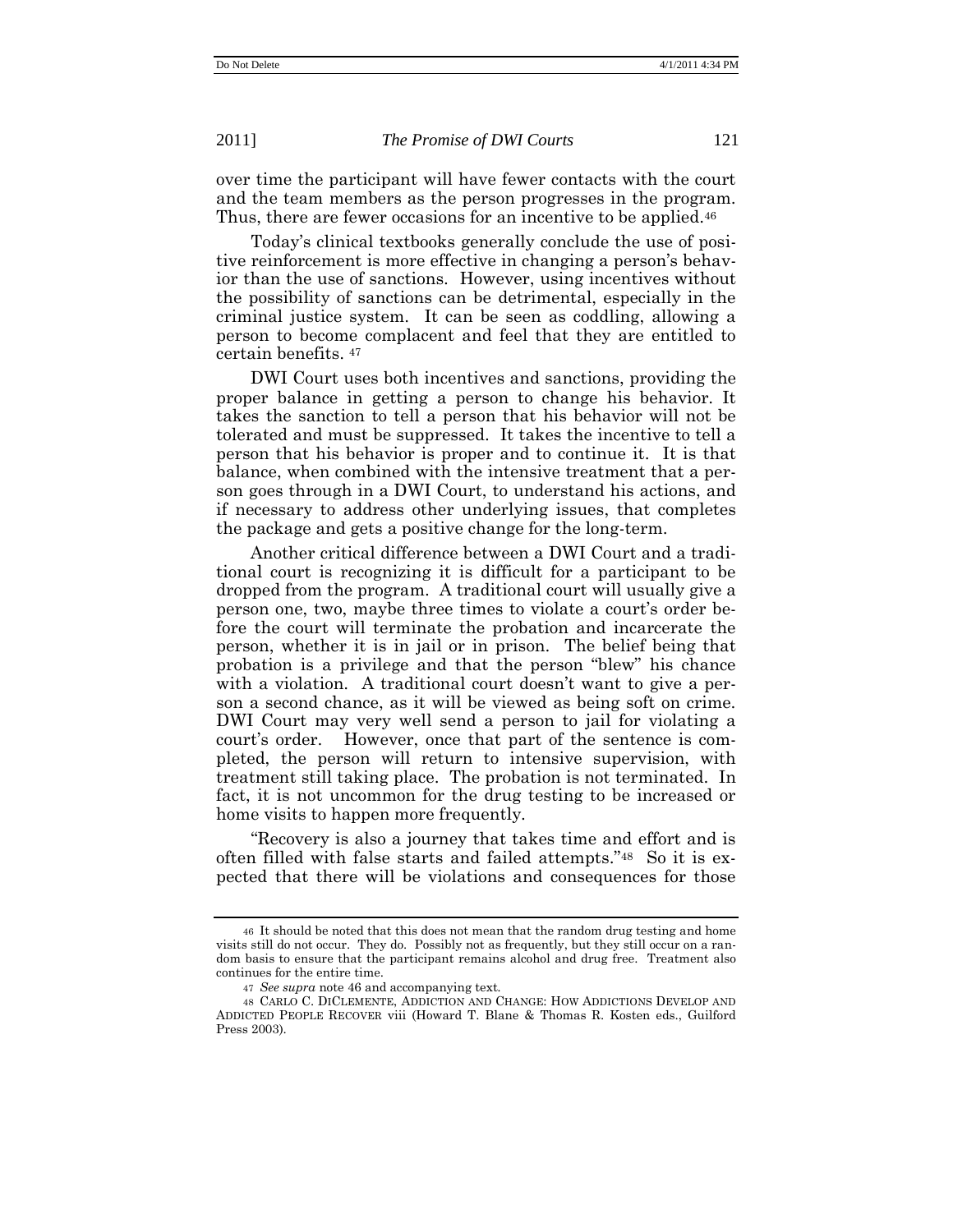over time the participant will have fewer contacts with the court and the team members as the person progresses in the program. Thus, there are fewer occasions for an incentive to be applied.<sup>46</sup>

Today's clinical textbooks generally conclude the use of positive reinforcement is more effective in changing a person's behavior than the use of sanctions. However, using incentives without the possibility of sanctions can be detrimental, especially in the criminal justice system. It can be seen as coddling, allowing a person to become complacent and feel that they are entitled to certain benefits. <sup>47</sup>

DWI Court uses both incentives and sanctions, providing the proper balance in getting a person to change his behavior. It takes the sanction to tell a person that his behavior will not be tolerated and must be suppressed. It takes the incentive to tell a person that his behavior is proper and to continue it. It is that balance, when combined with the intensive treatment that a person goes through in a DWI Court, to understand his actions, and if necessary to address other underlying issues, that completes the package and gets a positive change for the long-term.

Another critical difference between a DWI Court and a traditional court is recognizing it is difficult for a participant to be dropped from the program. A traditional court will usually give a person one, two, maybe three times to violate a court's order before the court will terminate the probation and incarcerate the person, whether it is in jail or in prison. The belief being that probation is a privilege and that the person "blew" his chance with a violation. A traditional court doesn't want to give a person a second chance, as it will be viewed as being soft on crime. DWI Court may very well send a person to jail for violating a court's order. However, once that part of the sentence is completed, the person will return to intensive supervision, with treatment still taking place. The probation is not terminated. In fact, it is not uncommon for the drug testing to be increased or home visits to happen more frequently.

―Recovery is also a journey that takes time and effort and is often filled with false starts and failed attempts.<sup>"48</sup> So it is expected that there will be violations and consequences for those

<sup>46</sup> It should be noted that this does not mean that the random drug testing and home visits still do not occur. They do. Possibly not as frequently, but they still occur on a random basis to ensure that the participant remains alcohol and drug free. Treatment also continues for the entire time.

<sup>47</sup> *See supra* note 46 and accompanying text*.*

<sup>48</sup> CARLO C. DICLEMENTE, ADDICTION AND CHANGE: HOW ADDICTIONS DEVELOP AND ADDICTED PEOPLE RECOVER viii (Howard T. Blane & Thomas R. Kosten eds., Guilford Press 2003).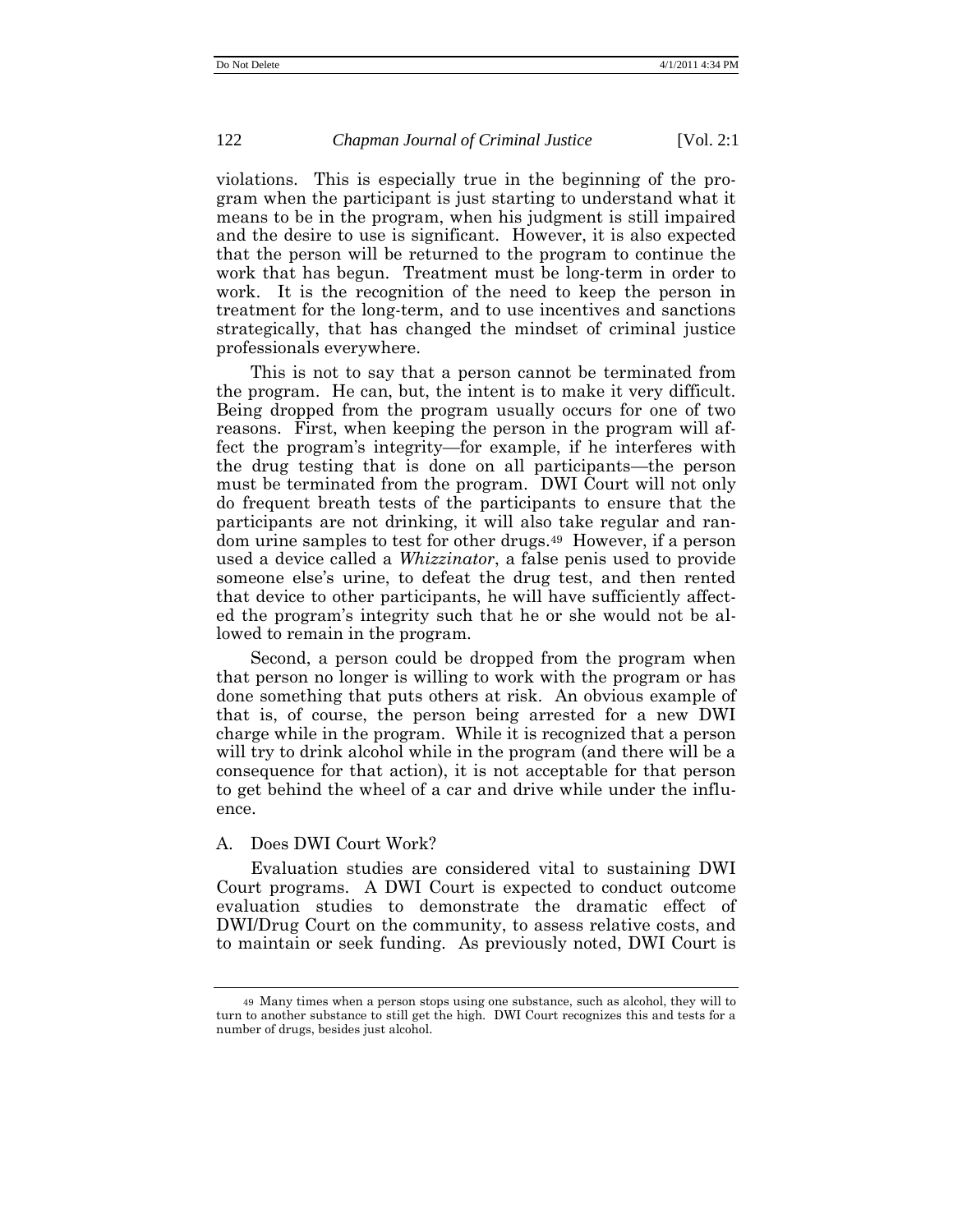violations. This is especially true in the beginning of the program when the participant is just starting to understand what it means to be in the program, when his judgment is still impaired and the desire to use is significant. However, it is also expected that the person will be returned to the program to continue the work that has begun. Treatment must be long-term in order to work. It is the recognition of the need to keep the person in treatment for the long-term, and to use incentives and sanctions strategically, that has changed the mindset of criminal justice professionals everywhere.

This is not to say that a person cannot be terminated from the program. He can, but, the intent is to make it very difficult. Being dropped from the program usually occurs for one of two reasons. First, when keeping the person in the program will affect the program's integrity—for example, if he interferes with the drug testing that is done on all participants—the person must be terminated from the program. DWI Court will not only do frequent breath tests of the participants to ensure that the participants are not drinking, it will also take regular and random urine samples to test for other drugs.<sup>49</sup> However, if a person used a device called a *Whizzinator*, a false penis used to provide someone else's urine, to defeat the drug test, and then rented that device to other participants, he will have sufficiently affected the program's integrity such that he or she would not be allowed to remain in the program.

Second, a person could be dropped from the program when that person no longer is willing to work with the program or has done something that puts others at risk. An obvious example of that is, of course, the person being arrested for a new DWI charge while in the program. While it is recognized that a person will try to drink alcohol while in the program (and there will be a consequence for that action), it is not acceptable for that person to get behind the wheel of a car and drive while under the influence.

# A. Does DWI Court Work?

Evaluation studies are considered vital to sustaining DWI Court programs. A DWI Court is expected to conduct outcome evaluation studies to demonstrate the dramatic effect of DWI/Drug Court on the community, to assess relative costs, and to maintain or seek funding. As previously noted, DWI Court is

<sup>49</sup> Many times when a person stops using one substance, such as alcohol, they will to turn to another substance to still get the high. DWI Court recognizes this and tests for a number of drugs, besides just alcohol.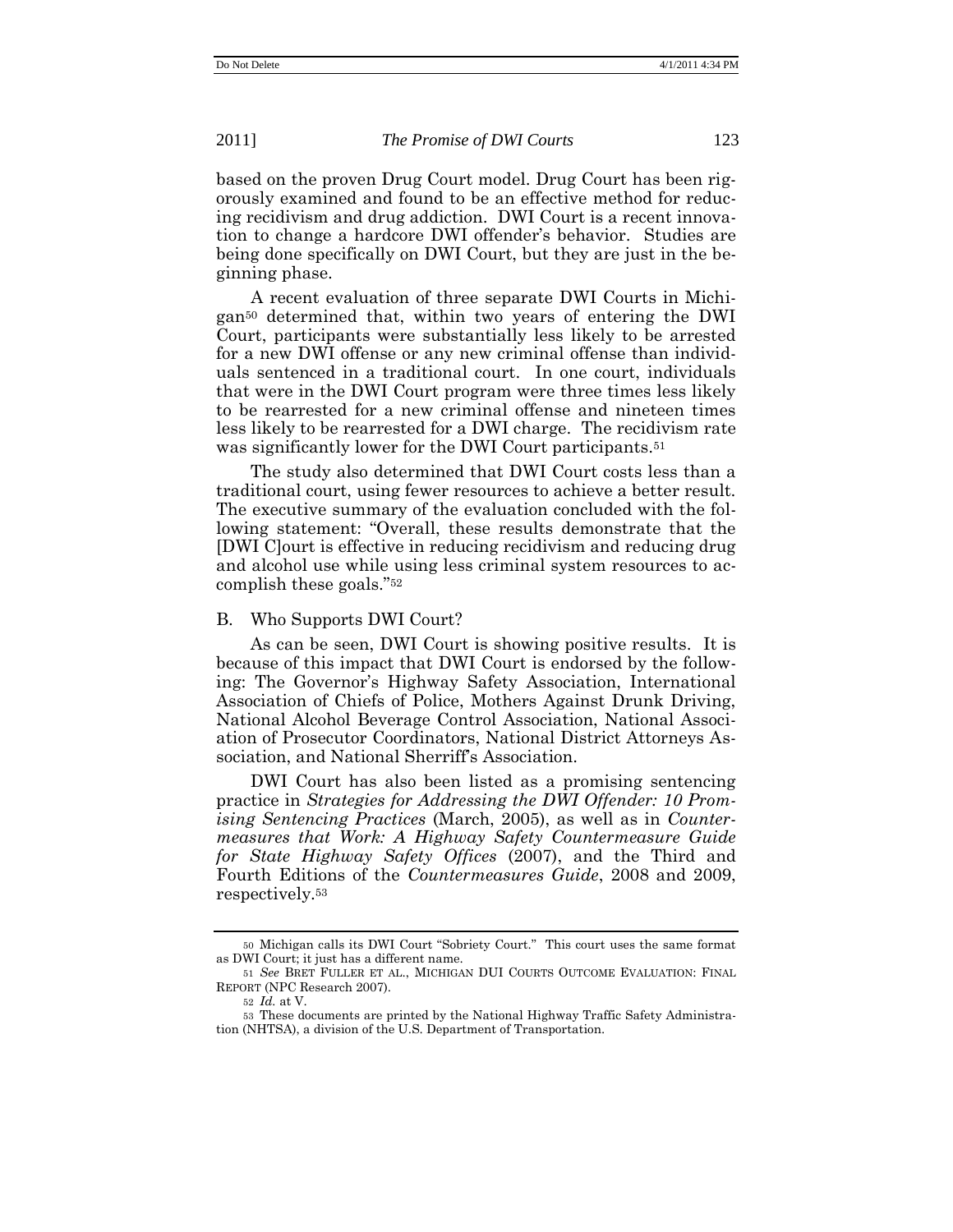based on the proven Drug Court model. Drug Court has been rigorously examined and found to be an effective method for reducing recidivism and drug addiction. DWI Court is a recent innovation to change a hardcore DWI offender's behavior. Studies are being done specifically on DWI Court, but they are just in the beginning phase.

A recent evaluation of three separate DWI Courts in Michigan<sup>50</sup> determined that, within two years of entering the DWI Court, participants were substantially less likely to be arrested for a new DWI offense or any new criminal offense than individuals sentenced in a traditional court. In one court, individuals that were in the DWI Court program were three times less likely to be rearrested for a new criminal offense and nineteen times less likely to be rearrested for a DWI charge. The recidivism rate was significantly lower for the DWI Court participants.<sup>51</sup>

The study also determined that DWI Court costs less than a traditional court, using fewer resources to achieve a better result. The executive summary of the evaluation concluded with the following statement: "Overall, these results demonstrate that the [DWI C]ourt is effective in reducing recidivism and reducing drug and alcohol use while using less criminal system resources to accomplish these goals."<sup>52</sup>

## B. Who Supports DWI Court?

As can be seen, DWI Court is showing positive results. It is because of this impact that DWI Court is endorsed by the following: The Governor's Highway Safety Association, International Association of Chiefs of Police, Mothers Against Drunk Driving, National Alcohol Beverage Control Association, National Association of Prosecutor Coordinators, National District Attorneys Association, and National Sherriff's Association.

DWI Court has also been listed as a promising sentencing practice in *Strategies for Addressing the DWI Offender: 10 Promising Sentencing Practices* (March, 2005), as well as in *Countermeasures that Work: A Highway Safety Countermeasure Guide for State Highway Safety Offices* (2007), and the Third and Fourth Editions of the *Countermeasures Guide*, 2008 and 2009, respectively.<sup>53</sup>

<sup>50</sup> Michigan calls its DWI Court "Sobriety Court." This court uses the same format as DWI Court; it just has a different name.

<sup>51</sup> *See* BRET FULLER ET AL., MICHIGAN DUI COURTS OUTCOME EVALUATION: FINAL REPORT (NPC Research 2007).

<sup>52</sup> *Id.* at V.

<sup>53</sup> These documents are printed by the National Highway Traffic Safety Administration (NHTSA), a division of the U.S. Department of Transportation.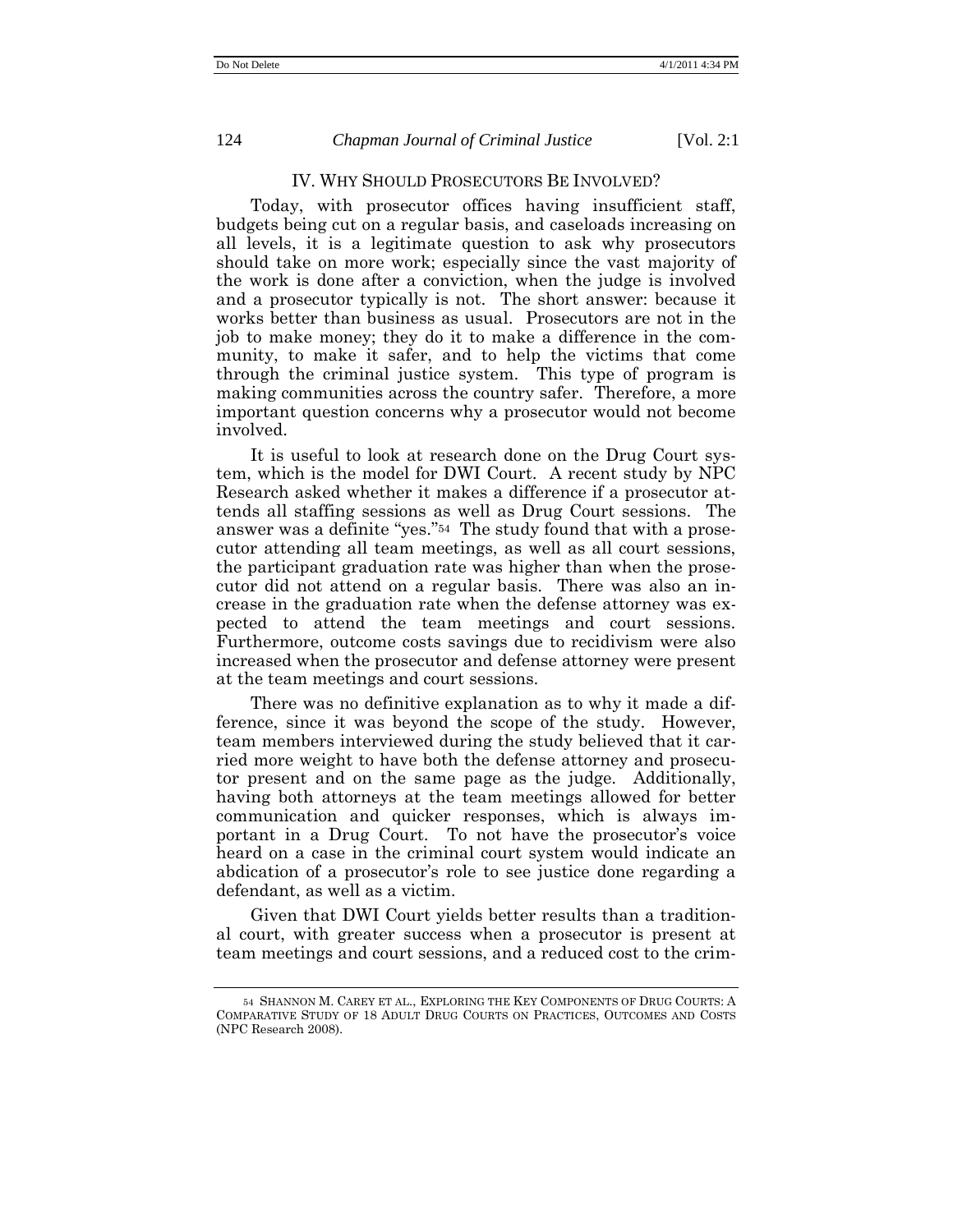## IV. WHY SHOULD PROSECUTORS BE INVOLVED?

Today, with prosecutor offices having insufficient staff, budgets being cut on a regular basis, and caseloads increasing on all levels, it is a legitimate question to ask why prosecutors should take on more work; especially since the vast majority of the work is done after a conviction, when the judge is involved and a prosecutor typically is not. The short answer: because it works better than business as usual. Prosecutors are not in the job to make money; they do it to make a difference in the community, to make it safer, and to help the victims that come through the criminal justice system. This type of program is making communities across the country safer. Therefore, a more important question concerns why a prosecutor would not become involved.

It is useful to look at research done on the Drug Court system, which is the model for DWI Court. A recent study by NPC Research asked whether it makes a difference if a prosecutor attends all staffing sessions as well as Drug Court sessions. The answer was a definite "yes."<sup>54</sup> The study found that with a prosecutor attending all team meetings, as well as all court sessions, the participant graduation rate was higher than when the prosecutor did not attend on a regular basis. There was also an increase in the graduation rate when the defense attorney was expected to attend the team meetings and court sessions. Furthermore, outcome costs savings due to recidivism were also increased when the prosecutor and defense attorney were present at the team meetings and court sessions.

There was no definitive explanation as to why it made a difference, since it was beyond the scope of the study. However, team members interviewed during the study believed that it carried more weight to have both the defense attorney and prosecutor present and on the same page as the judge. Additionally, having both attorneys at the team meetings allowed for better communication and quicker responses, which is always important in a Drug Court. To not have the prosecutor's voice heard on a case in the criminal court system would indicate an abdication of a prosecutor's role to see justice done regarding a defendant, as well as a victim.

Given that DWI Court yields better results than a traditional court, with greater success when a prosecutor is present at team meetings and court sessions, and a reduced cost to the crim-

<sup>54</sup> SHANNON M. CAREY ET AL., EXPLORING THE KEY COMPONENTS OF DRUG COURTS: A COMPARATIVE STUDY OF 18 ADULT DRUG COURTS ON PRACTICES, OUTCOMES AND COSTS (NPC Research 2008).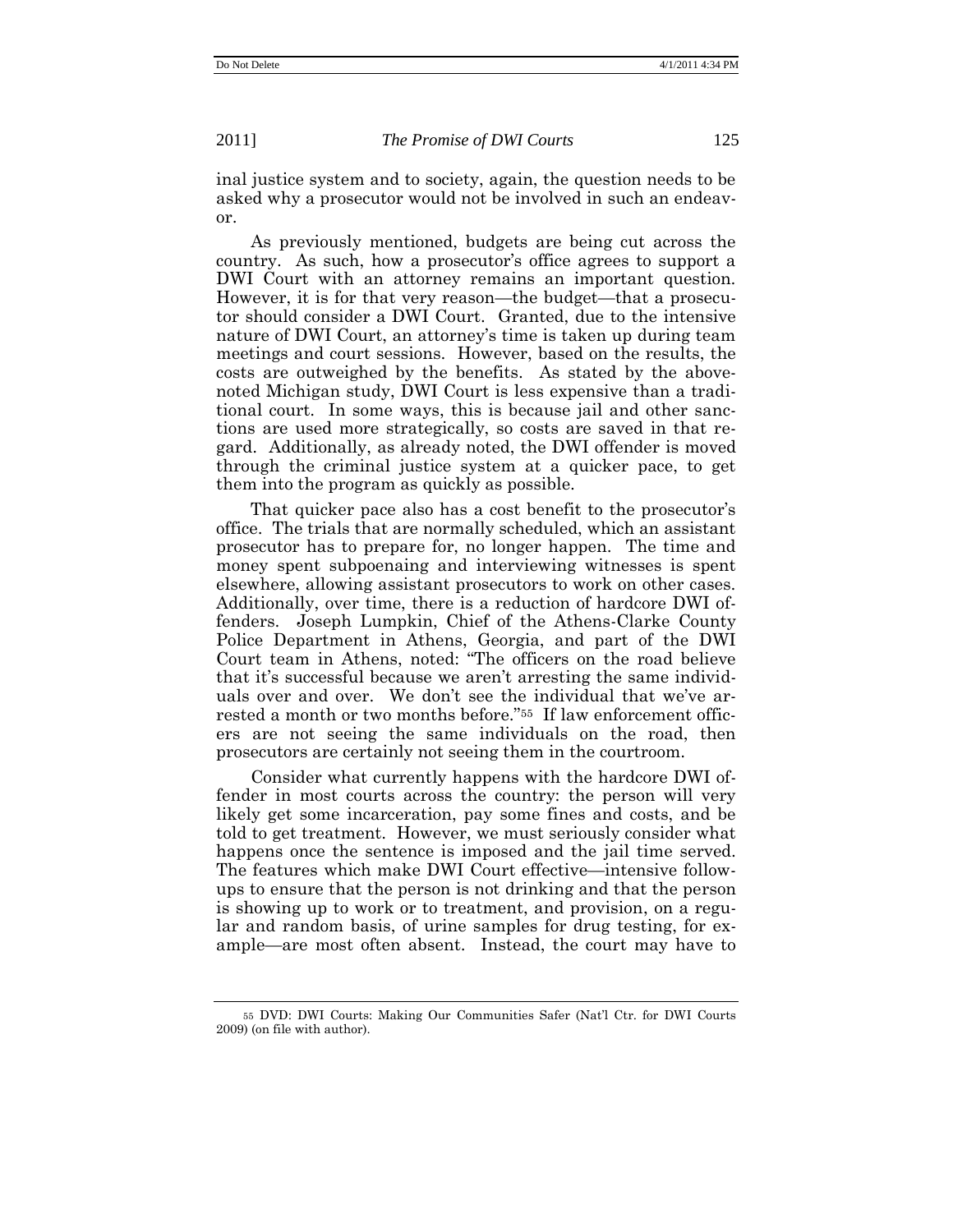inal justice system and to society, again, the question needs to be asked why a prosecutor would not be involved in such an endeavor.

As previously mentioned, budgets are being cut across the country. As such, how a prosecutor's office agrees to support a DWI Court with an attorney remains an important question. However, it is for that very reason—the budget—that a prosecutor should consider a DWI Court. Granted, due to the intensive nature of DWI Court, an attorney's time is taken up during team meetings and court sessions. However, based on the results, the costs are outweighed by the benefits. As stated by the abovenoted Michigan study, DWI Court is less expensive than a traditional court. In some ways, this is because jail and other sanctions are used more strategically, so costs are saved in that regard. Additionally, as already noted, the DWI offender is moved through the criminal justice system at a quicker pace, to get them into the program as quickly as possible.

That quicker pace also has a cost benefit to the prosecutor's office. The trials that are normally scheduled, which an assistant prosecutor has to prepare for, no longer happen. The time and money spent subpoenaing and interviewing witnesses is spent elsewhere, allowing assistant prosecutors to work on other cases. Additionally, over time, there is a reduction of hardcore DWI offenders. Joseph Lumpkin, Chief of the Athens-Clarke County Police Department in Athens, Georgia, and part of the DWI Court team in Athens, noted: "The officers on the road believe that it's successful because we aren't arresting the same individuals over and over. We don't see the individual that we've arrested a month or two months before."<sup>55</sup> If law enforcement officers are not seeing the same individuals on the road, then prosecutors are certainly not seeing them in the courtroom.

Consider what currently happens with the hardcore DWI offender in most courts across the country: the person will very likely get some incarceration, pay some fines and costs, and be told to get treatment. However, we must seriously consider what happens once the sentence is imposed and the jail time served. The features which make DWI Court effective—intensive followups to ensure that the person is not drinking and that the person is showing up to work or to treatment, and provision, on a regular and random basis, of urine samples for drug testing, for example—are most often absent. Instead, the court may have to

<sup>55</sup> DVD: DWI Courts: Making Our Communities Safer (Nat'l Ctr. for DWI Courts 2009) (on file with author).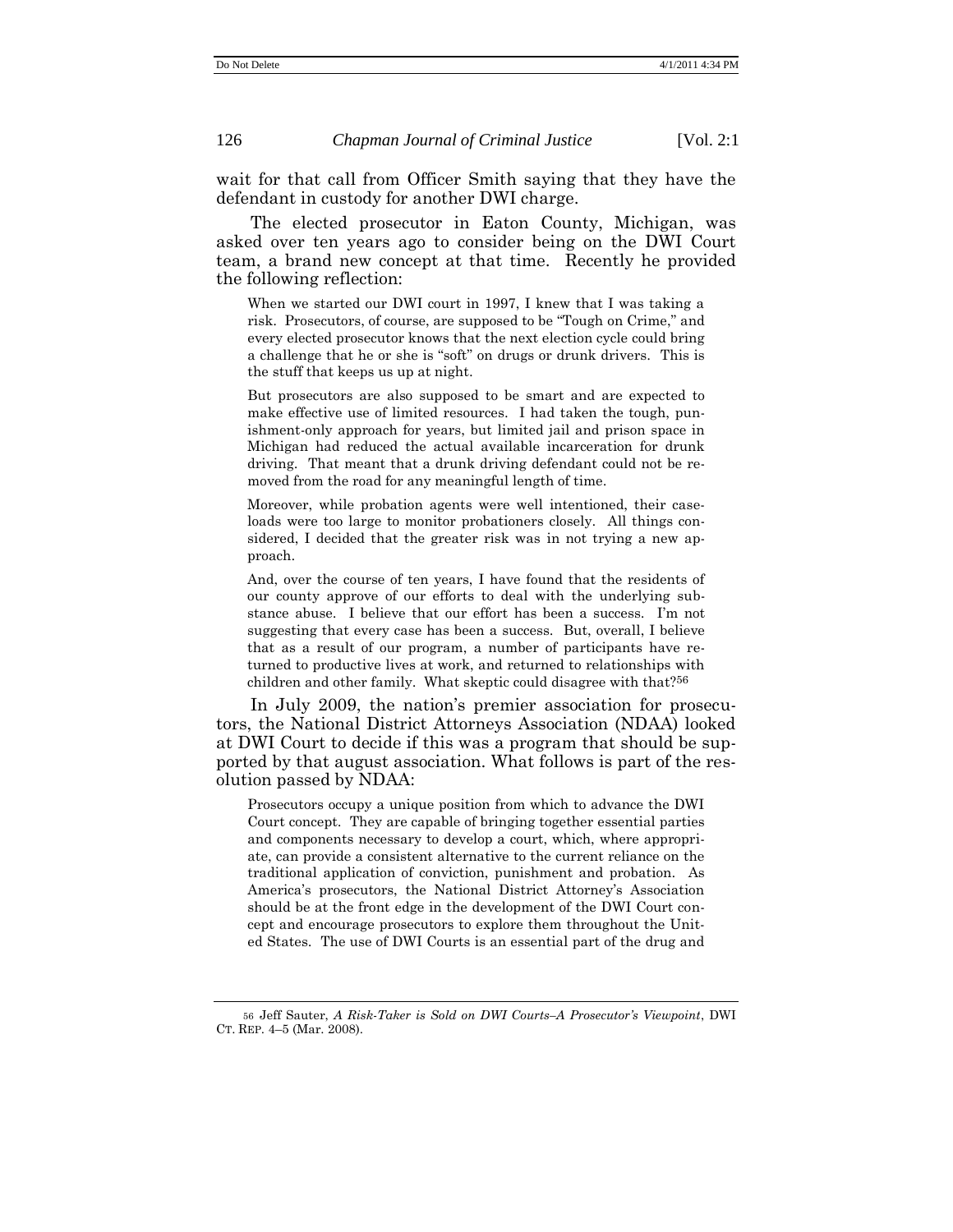wait for that call from Officer Smith saying that they have the defendant in custody for another DWI charge.

The elected prosecutor in Eaton County, Michigan, was asked over ten years ago to consider being on the DWI Court team, a brand new concept at that time. Recently he provided the following reflection:

When we started our DWI court in 1997, I knew that I was taking a risk. Prosecutors, of course, are supposed to be "Tough on Crime," and every elected prosecutor knows that the next election cycle could bring a challenge that he or she is "soft" on drugs or drunk drivers. This is the stuff that keeps us up at night.

But prosecutors are also supposed to be smart and are expected to make effective use of limited resources. I had taken the tough, punishment-only approach for years, but limited jail and prison space in Michigan had reduced the actual available incarceration for drunk driving. That meant that a drunk driving defendant could not be removed from the road for any meaningful length of time.

Moreover, while probation agents were well intentioned, their caseloads were too large to monitor probationers closely. All things considered, I decided that the greater risk was in not trying a new approach.

And, over the course of ten years, I have found that the residents of our county approve of our efforts to deal with the underlying substance abuse. I believe that our effort has been a success. I'm not suggesting that every case has been a success. But, overall, I believe that as a result of our program, a number of participants have returned to productive lives at work, and returned to relationships with children and other family. What skeptic could disagree with that?56

In July 2009, the nation's premier association for prosecutors, the National District Attorneys Association (NDAA) looked at DWI Court to decide if this was a program that should be supported by that august association. What follows is part of the resolution passed by NDAA:

Prosecutors occupy a unique position from which to advance the DWI Court concept. They are capable of bringing together essential parties and components necessary to develop a court, which, where appropriate, can provide a consistent alternative to the current reliance on the traditional application of conviction, punishment and probation. As America's prosecutors, the National District Attorney's Association should be at the front edge in the development of the DWI Court concept and encourage prosecutors to explore them throughout the United States. The use of DWI Courts is an essential part of the drug and

<sup>56</sup> Jeff Sauter, *A Risk-Taker is Sold on DWI Courts–A Prosecutor's Viewpoint*, DWI CT. REP. 4–5 (Mar. 2008).